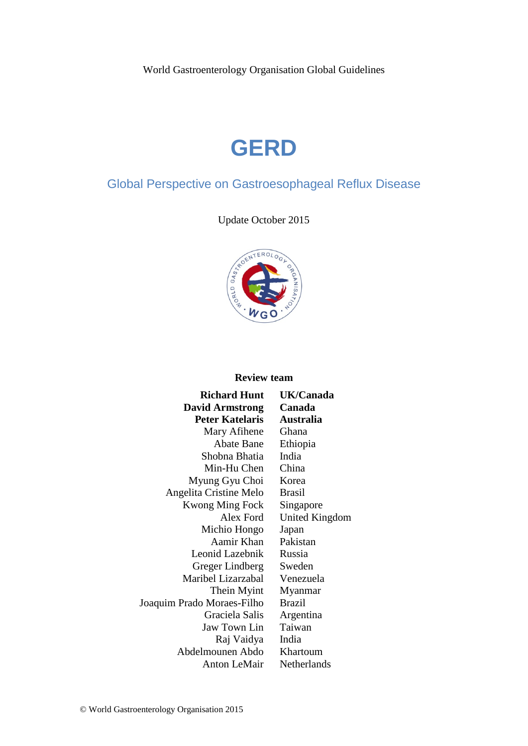World Gastroenterology Organisation Global Guidelines

# **GERD**

# Global Perspective on Gastroesophageal Reflux Disease

Update October 2015



## **Review team**

| <b>Richard Hunt</b>        | UK/Car          |
|----------------------------|-----------------|
| <b>David Armstrong</b>     | Canada          |
| <b>Peter Katelaris</b>     | <b>Australi</b> |
| Mary Afihene               | Ghana           |
| <b>Abate Bane</b>          | Ethiopia        |
| Shobna Bhatia              | India           |
| Min-Hu Chen                | China           |
| Myung Gyu Choi             | Korea           |
| Angelita Cristine Melo     | <b>Brasil</b>   |
| <b>Kwong Ming Fock</b>     | Singapo         |
| Alex Ford                  | United <b>F</b> |
| Michio Hongo               | Japan           |
| Aamir Khan                 | Pakistan        |
| Leonid Lazebnik            | Russia          |
| Greger Lindberg            | Sweden          |
| Maribel Lizarzabal         | Venezue         |
| Thein Myint                | Myanma          |
| Joaquim Prado Moraes-Filho | <b>Brazil</b>   |
| Graciela Salis             | Argentin        |
| Jaw Town Lin               | Taiwan          |
| Raj Vaidya                 | India           |
| Abdelmounen Abdo           | <b>Khartou</b>  |
| <b>Anton LeMair</b>        | Netherla        |

 $\sum$ anada **Peter Katelaris Australia** pore d Kingdom zuela ımar htina aum erlands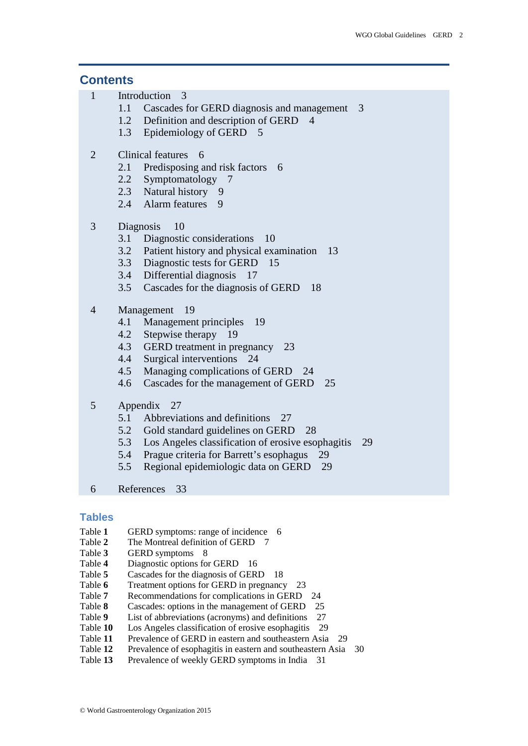#### **Contents**

- 1 [Introduction](#page-2-0) 3
	- 1.1 [Cascades for GERD diagnosis and management](#page-2-1) 3
	- 1.2 [Definition and description of GERD](#page-3-0) 4
	- 1.3 [Epidemiology of GERD](#page-4-0) 5
- 2 [Clinical features](#page-5-0) 6
	- 2.1 [Predisposing and risk factors](#page-5-1) 6
	- 2.2 [Symptomatology](#page-6-0) 7
	- 2.3 [Natural history](#page-8-0) 9
	- 2.4 [Alarm features](#page-8-1) 9
- 3 [Diagnosis](#page-9-0) 10
	- 3.1 [Diagnostic considerations](#page-9-1) 10
	- 3.2 [Patient history and physical examination](#page-12-0) 13
	- 3.3 [Diagnostic tests for GERD](#page-14-0) 15
	- 3.4 [Differential diagnosis](#page-16-0) 17
	- 3.5 [Cascades for the diagnosis of GERD](#page-17-0) 18
- 4 [Management](#page-18-0) 19
	- 4.1 [Management principles](#page-18-1) 19
	- 4.2 [Stepwise therapy](#page-18-2) 19
	- 4.3 [GERD treatment in pregnancy](#page-22-0) 23
	- 4.4 [Surgical interventions](#page-23-0) 24
	- 4.5 [Managing complications of GERD](#page-23-1) 24
	- 4.6 [Cascades for the management of GERD](#page-24-0) 25
- 5 [Appendix](#page-26-0) 27
	- 5.1 [Abbreviations and definitions](#page-26-1) 27
	- 5.2 [Gold standard guidelines on GERD](#page-26-2) 28
	- 5.3 [Los Angeles classification of erosive esophagitis](#page-28-0) 29
	- 5.4 [Prague criteria for Barrett's esophagus](#page-28-1) 29
	- 5.5 [Regional epidemiologic data on GERD](#page-28-2) 29
- 6 [References](#page-32-0) 33

## **Tables**

- Table 1 GERD symptoms: range of incidence 6
- Table 2 The Montreal definition of GERD 7
- Table **3** GERD symptoms 8
- Table **4** Diagnostic options for GERD 16
- Table **5** Cascades for the diagnosis of GERD 18
- Table **6** Treatment options for GERD in pregnancy 23
- Table **7** Recommendations for complications in GERD 24
- Table **8** Cascades: options in the management of GERD 25
- Table 9 List of abbreviations (acronyms) and definitions 27
- Table **10** Los Angeles classification of erosive esophagitis 29
- Table 11 Prevalence of GERD in eastern and southeastern Asia 29
- Table 12 Prevalence of esophagitis in eastern and southeastern Asia 30
- Table 13 Prevalence of weekly GERD symptoms in India 31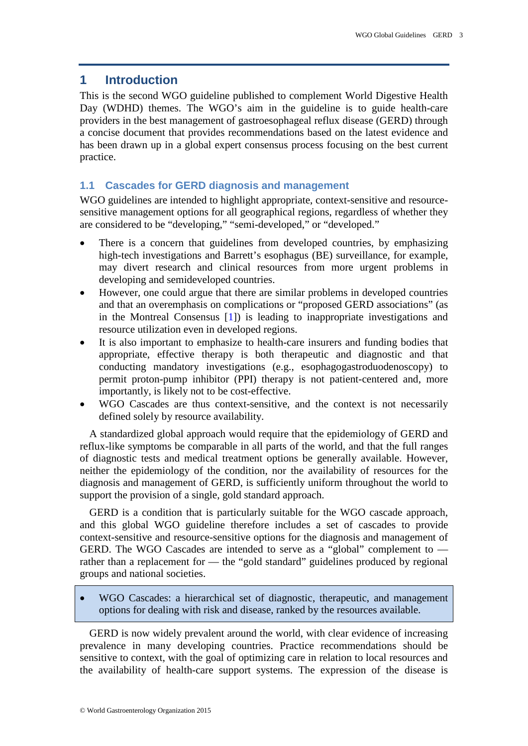## <span id="page-2-0"></span>**1 Introduction**

This is the second WGO guideline published to complement World Digestive Health Day (WDHD) themes. The WGO's aim in the guideline is to guide health-care providers in the best management of gastroesophageal reflux disease (GERD) through a concise document that provides recommendations based on the latest evidence and has been drawn up in a global expert consensus process focusing on the best current practice.

## <span id="page-2-1"></span>**1.1 Cascades for GERD diagnosis and management**

WGO guidelines are intended to highlight appropriate, context-sensitive and resourcesensitive management options for all geographical regions, regardless of whether they are considered to be "developing," "semi-developed," or "developed."

- There is a concern that guidelines from developed countries, by emphasizing high-tech investigations and Barrett's esophagus (BE) surveillance, for example, may divert research and clinical resources from more urgent problems in developing and semideveloped countries.
- However, one could argue that there are similar problems in developed countries and that an overemphasis on complications or "proposed GERD associations" (as in the Montreal Consensus [\[1\]](#page-32-1)) is leading to inappropriate investigations and resource utilization even in developed regions.
- It is also important to emphasize to health-care insurers and funding bodies that appropriate, effective therapy is both therapeutic and diagnostic and that conducting mandatory investigations (e.g., esophagogastroduodenoscopy) to permit proton-pump inhibitor (PPI) therapy is not patient-centered and, more importantly, is likely not to be cost-effective.
- WGO Cascades are thus context-sensitive, and the context is not necessarily defined solely by resource availability.

A standardized global approach would require that the epidemiology of GERD and reflux-like symptoms be comparable in all parts of the world, and that the full ranges of diagnostic tests and medical treatment options be generally available. However, neither the epidemiology of the condition, nor the availability of resources for the diagnosis and management of GERD, is sufficiently uniform throughout the world to support the provision of a single, gold standard approach.

GERD is a condition that is particularly suitable for the WGO cascade approach, and this global WGO guideline therefore includes a set of cascades to provide context-sensitive and resource-sensitive options for the diagnosis and management of GERD. The WGO Cascades are intended to serve as a "global" complement to rather than a replacement for — the "gold standard" guidelines produced by regional groups and national societies.

• WGO Cascades: a hierarchical set of diagnostic, therapeutic, and management options for dealing with risk and disease, ranked by the resources available.

GERD is now widely prevalent around the world, with clear evidence of increasing prevalence in many developing countries. Practice recommendations should be sensitive to context, with the goal of optimizing care in relation to local resources and the availability of health-care support systems. The expression of the disease is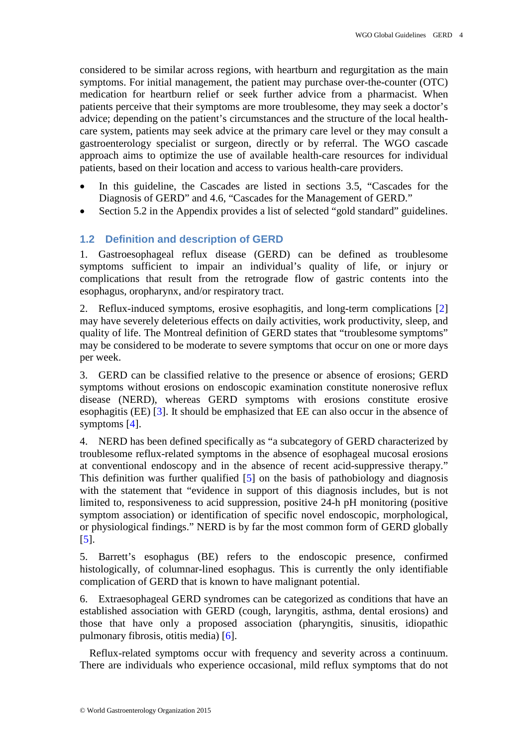considered to be similar across regions, with heartburn and regurgitation as the main symptoms. For initial management, the patient may purchase over-the-counter (OTC) medication for heartburn relief or seek further advice from a pharmacist. When patients perceive that their symptoms are more troublesome, they may seek a doctor's advice; depending on the patient's circumstances and the structure of the local healthcare system, patients may seek advice at the primary care level or they may consult a gastroenterology specialist or surgeon, directly or by referral. The WGO cascade approach aims to optimize the use of available health-care resources for individual patients, based on their location and access to various health-care providers.

- In this guideline, the Cascades are listed in sections 3.5, "Cascades for the Diagnosis of GERD" and 4.6, "Cascades for the Management of GERD."
- Section 5.2 in the Appendix provides a list of selected "gold standard" guidelines.

## <span id="page-3-0"></span>**1.2 Definition and description of GERD**

1. Gastroesophageal reflux disease (GERD) can be defined as troublesome symptoms sufficient to impair an individual's quality of life, or injury or complications that result from the retrograde flow of gastric contents into the esophagus, oropharynx, and/or respiratory tract.

2. Reflux-induced symptoms, erosive esophagitis, and long-term complications [\[2\]](#page-32-2) may have severely deleterious effects on daily activities, work productivity, sleep, and quality of life. The Montreal definition of GERD states that "troublesome symptoms" may be considered to be moderate to severe symptoms that occur on one or more days per week.

3. GERD can be classified relative to the presence or absence of erosions; GERD symptoms without erosions on endoscopic examination constitute nonerosive reflux disease (NERD), whereas GERD symptoms with erosions constitute erosive esophagitis (EE) [\[3\]](#page-32-3). It should be emphasized that EE can also occur in the absence of symptoms [\[4\]](#page-32-4).

4. NERD has been defined specifically as "a subcategory of GERD characterized by troublesome reflux-related symptoms in the absence of esophageal mucosal erosions at conventional endoscopy and in the absence of recent acid-suppressive therapy." This definition was further qualified [\[5\]](#page-32-5) on the basis of pathobiology and diagnosis with the statement that "evidence in support of this diagnosis includes, but is not limited to, responsiveness to acid suppression, positive 24-h pH monitoring (positive symptom association) or identification of specific novel endoscopic, morphological, or physiological findings." NERD is by far the most common form of GERD globally [\[5\]](#page-32-5).

5. Barrett's esophagus (BE) refers to the endoscopic presence, confirmed histologically, of columnar-lined esophagus. This is currently the only identifiable complication of GERD that is known to have malignant potential.

6. Extraesophageal GERD syndromes can be categorized as conditions that have an established association with GERD (cough, laryngitis, asthma, dental erosions) and those that have only a proposed association (pharyngitis, sinusitis, idiopathic pulmonary fibrosis, otitis media) [\[6\]](#page-32-6).

Reflux-related symptoms occur with frequency and severity across a continuum. There are individuals who experience occasional, mild reflux symptoms that do not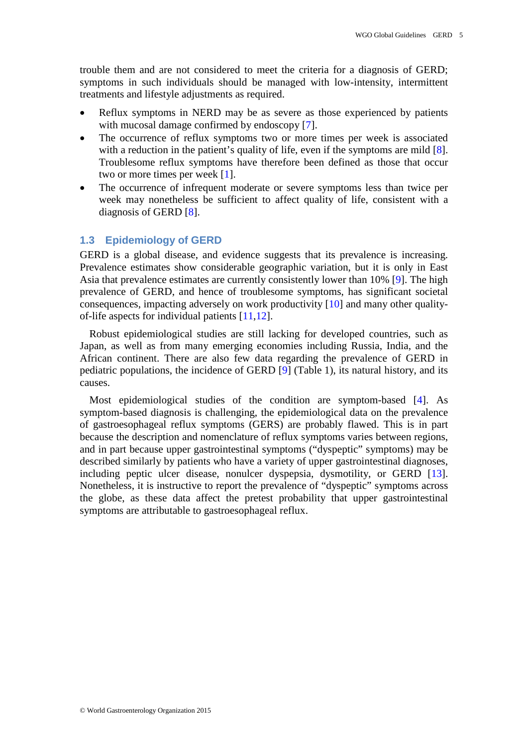trouble them and are not considered to meet the criteria for a diagnosis of GERD; symptoms in such individuals should be managed with low-intensity, intermittent treatments and lifestyle adjustments as required.

- Reflux symptoms in NERD may be as severe as those experienced by patients with mucosal damage confirmed by endoscopy [\[7\]](#page-32-7).
- The occurrence of reflux symptoms two or more times per week is associated with a reduction in the patient's quality of life, even if the symptoms are mild [\[8\]](#page-32-8). Troublesome reflux symptoms have therefore been defined as those that occur two or more times per week [\[1\]](#page-32-1).
- The occurrence of infrequent moderate or severe symptoms less than twice per week may nonetheless be sufficient to affect quality of life, consistent with a diagnosis of GERD [\[8\]](#page-32-8).

#### <span id="page-4-0"></span>**1.3 Epidemiology of GERD**

GERD is a global disease, and evidence suggests that its prevalence is increasing. Prevalence estimates show considerable geographic variation, but it is only in East Asia that prevalence estimates are currently consistently lower than 10% [\[9\]](#page-32-9). The high prevalence of GERD, and hence of troublesome symptoms, has significant societal consequences, impacting adversely on work productivity [\[10\]](#page-32-10) and many other qualityof-life aspects for individual patients [\[11](#page-32-11)[,12\]](#page-32-12).

Robust epidemiological studies are still lacking for developed countries, such as Japan, as well as from many emerging economies including Russia, India, and the African continent. There are also few data regarding the prevalence of GERD in pediatric populations, the incidence of GERD [\[9\]](#page-32-9) (Table 1), its natural history, and its causes.

Most epidemiological studies of the condition are symptom-based [\[4\]](#page-32-4). As symptom-based diagnosis is challenging, the epidemiological data on the prevalence of gastroesophageal reflux symptoms (GERS) are probably flawed. This is in part because the description and nomenclature of reflux symptoms varies between regions, and in part because upper gastrointestinal symptoms ("dyspeptic" symptoms) may be described similarly by patients who have a variety of upper gastrointestinal diagnoses, including peptic ulcer disease, nonulcer dyspepsia, dysmotility, or GERD [\[13\]](#page-32-13). Nonetheless, it is instructive to report the prevalence of "dyspeptic" symptoms across the globe, as these data affect the pretest probability that upper gastrointestinal symptoms are attributable to gastroesophageal reflux.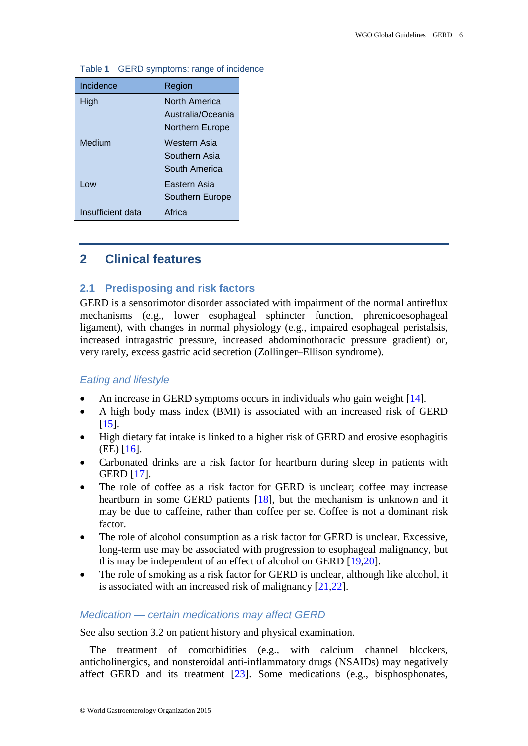| Incidence         | Region            |
|-------------------|-------------------|
| High              | North America     |
|                   | Australia/Oceania |
|                   | Northern Europe   |
| Medium            | Western Asia      |
|                   | Southern Asia     |
|                   | South America     |
| Low               | Eastern Asia      |
|                   | Southern Europe   |
| Insufficient data | Africa            |

#### Table **1** GERD symptoms: range of incidence

## <span id="page-5-0"></span>**2 Clinical features**

## <span id="page-5-1"></span>**2.1 Predisposing and risk factors**

GERD is a sensorimotor disorder associated with impairment of the normal antireflux mechanisms (e.g., lower esophageal sphincter function, phrenicoesophageal ligament), with changes in normal physiology (e.g., impaired esophageal peristalsis, increased intragastric pressure, increased abdominothoracic pressure gradient) or, very rarely, excess gastric acid secretion (Zollinger–Ellison syndrome).

#### *Eating and lifestyle*

- An increase in GERD symptoms occurs in individuals who gain weight [\[14\]](#page-32-14).
- A high body mass index (BMI) is associated with an increased risk of GERD [\[15\]](#page-32-15).
- High dietary fat intake is linked to a higher risk of GERD and erosive esophagitis (EE) [\[16\]](#page-32-16).
- Carbonated drinks are a risk factor for heartburn during sleep in patients with GERD [\[17\]](#page-32-17).
- The role of coffee as a risk factor for GERD is unclear; coffee may increase heartburn in some GERD patients [\[18\]](#page-33-0), but the mechanism is unknown and it may be due to caffeine, rather than coffee per se. Coffee is not a dominant risk factor.
- The role of alcohol consumption as a risk factor for GERD is unclear. Excessive, long-term use may be associated with progression to esophageal malignancy, but this may be independent of an effect of alcohol on GERD [\[19](#page-33-1)[,20\]](#page-33-2).
- The role of smoking as a risk factor for GERD is unclear, although like alcohol, it is associated with an increased risk of malignancy [\[21,](#page-33-3)[22\]](#page-33-4).

## *Medication — certain medications may affect GERD*

See also section 3.2 on patient history and physical examination.

The treatment of comorbidities (e.g., with calcium channel blockers, anticholinergics, and nonsteroidal anti-inflammatory drugs (NSAIDs) may negatively affect GERD and its treatment [\[23\]](#page-33-5). Some medications (e.g., bisphosphonates,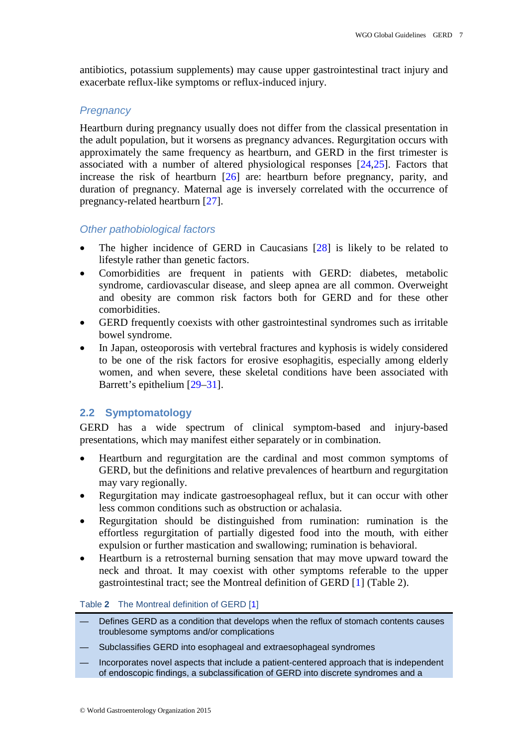antibiotics, potassium supplements) may cause upper gastrointestinal tract injury and exacerbate reflux-like symptoms or reflux-induced injury.

## *Pregnancy*

Heartburn during pregnancy usually does not differ from the classical presentation in the adult population, but it worsens as pregnancy advances. Regurgitation occurs with approximately the same frequency as heartburn, and GERD in the first trimester is associated with a number of altered physiological responses [\[24,](#page-33-6)[25\]](#page-33-7). Factors that increase the risk of heartburn [\[26\]](#page-33-8) are: heartburn before pregnancy, parity, and duration of pregnancy. Maternal age is inversely correlated with the occurrence of pregnancy-related heartburn [\[27\]](#page-33-9).

## *Other pathobiological factors*

- The higher incidence of GERD in Caucasians [\[28\]](#page-33-10) is likely to be related to lifestyle rather than genetic factors.
- Comorbidities are frequent in patients with GERD: diabetes, metabolic syndrome, cardiovascular disease, and sleep apnea are all common. Overweight and obesity are common risk factors both for GERD and for these other comorbidities.
- GERD frequently coexists with other gastrointestinal syndromes such as irritable bowel syndrome.
- In Japan, osteoporosis with vertebral fractures and kyphosis is widely considered to be one of the risk factors for erosive esophagitis, especially among elderly women, and when severe, these skeletal conditions have been associated with Barrett's epithelium [\[29–](#page-33-11)[31\]](#page-33-12).

## <span id="page-6-0"></span>**2.2 Symptomatology**

GERD has a wide spectrum of clinical symptom-based and injury-based presentations, which may manifest either separately or in combination.

- Heartburn and regurgitation are the cardinal and most common symptoms of GERD, but the definitions and relative prevalences of heartburn and regurgitation may vary regionally.
- Regurgitation may indicate gastroesophageal reflux, but it can occur with other less common conditions such as obstruction or achalasia.
- Regurgitation should be distinguished from rumination: rumination is the effortless regurgitation of partially digested food into the mouth, with either expulsion or further mastication and swallowing; rumination is behavioral.
- Heartburn is a retrosternal burning sensation that may move upward toward the neck and throat. It may coexist with other symptoms referable to the upper gastrointestinal tract; see the Montreal definition of GERD [\[1\]](#page-32-1) (Table 2).

#### Table **2** The Montreal definition of GERD [\[1\]](#page-32-1)

- Defines GERD as a condition that develops when the reflux of stomach contents causes troublesome symptoms and/or complications
- Subclassifies GERD into esophageal and extraesophageal syndromes
- Incorporates novel aspects that include a patient-centered approach that is independent of endoscopic findings, a subclassification of GERD into discrete syndromes and a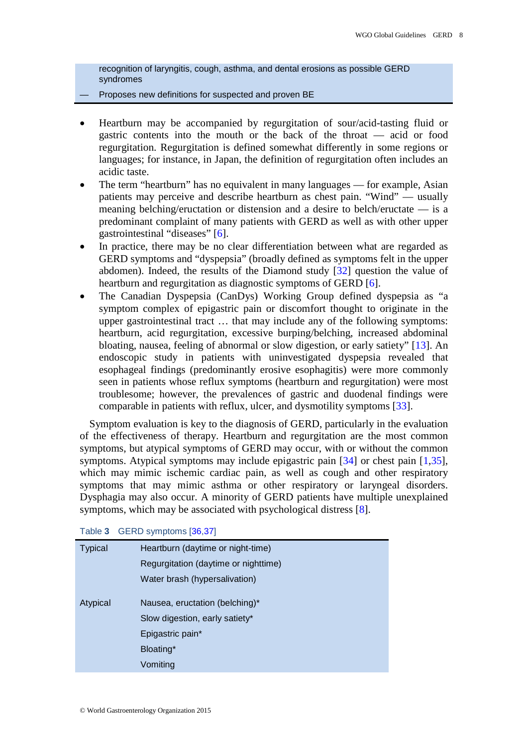recognition of laryngitis, cough, asthma, and dental erosions as possible GERD syndromes

#### Proposes new definitions for suspected and proven BE

- Heartburn may be accompanied by regurgitation of sour/acid-tasting fluid or gastric contents into the mouth or the back of the throat — acid or food regurgitation. Regurgitation is defined somewhat differently in some regions or languages; for instance, in Japan, the definition of regurgitation often includes an acidic taste.
- The term "heartburn" has no equivalent in many languages for example, Asian patients may perceive and describe heartburn as chest pain. "Wind" — usually meaning belching/eructation or distension and a desire to belch/eructate — is a predominant complaint of many patients with GERD as well as with other upper gastrointestinal "diseases" [\[6\]](#page-32-6).
- In practice, there may be no clear differentiation between what are regarded as GERD symptoms and "dyspepsia" (broadly defined as symptoms felt in the upper abdomen). Indeed, the results of the Diamond study [\[32\]](#page-33-13) question the value of heartburn and regurgitation as diagnostic symptoms of GERD [\[6\]](#page-32-6).
- The Canadian Dyspepsia (CanDys) Working Group defined dyspepsia as "a symptom complex of epigastric pain or discomfort thought to originate in the upper gastrointestinal tract … that may include any of the following symptoms: heartburn, acid regurgitation, excessive burping/belching, increased abdominal bloating, nausea, feeling of abnormal or slow digestion, or early satiety" [\[13\]](#page-32-13). An endoscopic study in patients with uninvestigated dyspepsia revealed that esophageal findings (predominantly erosive esophagitis) were more commonly seen in patients whose reflux symptoms (heartburn and regurgitation) were most troublesome; however, the prevalences of gastric and duodenal findings were comparable in patients with reflux, ulcer, and dysmotility symptoms [\[33\]](#page-33-14).

Symptom evaluation is key to the diagnosis of GERD, particularly in the evaluation of the effectiveness of therapy. Heartburn and regurgitation are the most common symptoms, but atypical symptoms of GERD may occur, with or without the common symptoms. Atypical symptoms may include epigastric pain [\[34\]](#page-33-15) or chest pain [\[1](#page-32-1)[,35\]](#page-33-16), which may mimic ischemic cardiac pain, as well as cough and other respiratory symptoms that may mimic asthma or other respiratory or laryngeal disorders. Dysphagia may also occur. A minority of GERD patients have multiple unexplained symptoms, which may be associated with psychological distress [\[8\]](#page-32-8).

| Typical  | Heartburn (daytime or night-time)    |
|----------|--------------------------------------|
|          | Regurgitation (daytime or nighttime) |
|          | Water brash (hypersalivation)        |
| Atypical | Nausea, eructation (belching)*       |
|          | Slow digestion, early satiety*       |
|          | Epigastric pain*                     |
|          | Bloating*                            |
|          | Vomiting                             |
|          |                                      |

Table **3** GERD symptoms [\[36,](#page-33-17)[37\]](#page-34-0)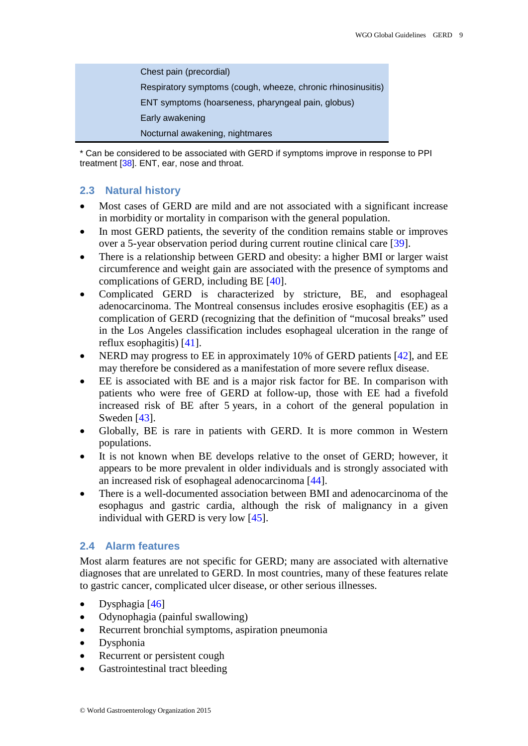| Chest pain (precordial)                                      |
|--------------------------------------------------------------|
| Respiratory symptoms (cough, wheeze, chronic rhinosinusitis) |
| ENT symptoms (hoarseness, pharyngeal pain, globus)           |
| Early awakening                                              |
| Nocturnal awakening, nightmares                              |

\* Can be considered to be associated with GERD if symptoms improve in response to PPI treatment [\[38\]](#page-34-1). ENT, ear, nose and throat.

## <span id="page-8-0"></span>**2.3 Natural history**

- Most cases of GERD are mild and are not associated with a significant increase in morbidity or mortality in comparison with the general population.
- In most GERD patients, the severity of the condition remains stable or improves over a 5-year observation period during current routine clinical care [\[39\]](#page-34-2).
- There is a relationship between GERD and obesity: a higher BMI or larger waist circumference and weight gain are associated with the presence of symptoms and complications of GERD, including BE [\[40\]](#page-34-3).
- Complicated GERD is characterized by stricture, BE, and esophageal adenocarcinoma. The Montreal consensus includes erosive esophagitis (EE) as a complication of GERD (recognizing that the definition of "mucosal breaks" used in the Los Angeles classification includes esophageal ulceration in the range of reflux esophagitis) [\[41\]](#page-34-4).
- NERD may progress to EE in approximately 10% of GERD patients [\[42\]](#page-34-5), and EE may therefore be considered as a manifestation of more severe reflux disease.
- EE is associated with BE and is a major risk factor for BE. In comparison with patients who were free of GERD at follow-up, those with EE had a fivefold increased risk of BE after 5 years, in a cohort of the general population in Sweden [\[43\]](#page-34-6).
- Globally, BE is rare in patients with GERD. It is more common in Western populations.
- It is not known when BE develops relative to the onset of GERD; however, it appears to be more prevalent in older individuals and is strongly associated with an increased risk of esophageal adenocarcinoma [\[44\]](#page-34-7).
- There is a well-documented association between BMI and adenocarcinoma of the esophagus and gastric cardia, although the risk of malignancy in a given individual with GERD is very low [\[45\]](#page-34-8).

## <span id="page-8-1"></span>**2.4 Alarm features**

Most alarm features are not specific for GERD; many are associated with alternative diagnoses that are unrelated to GERD. In most countries, many of these features relate to gastric cancer, complicated ulcer disease, or other serious illnesses.

- Dysphagia  $[46]$
- Odynophagia (painful swallowing)
- Recurrent bronchial symptoms, aspiration pneumonia
- Dysphonia
- Recurrent or persistent cough
- Gastrointestinal tract bleeding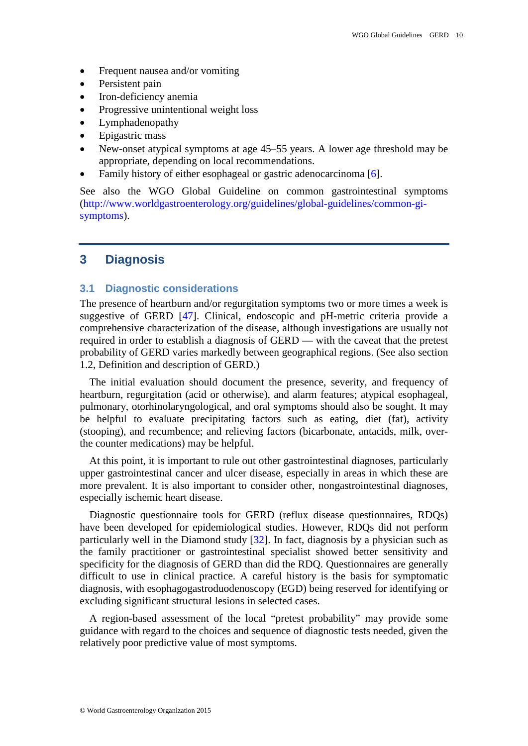- Frequent nausea and/or vomiting
- Persistent pain
- Iron-deficiency anemia
- Progressive unintentional weight loss
- Lymphadenopathy
- Epigastric mass
- New-onset atypical symptoms at age 45–55 years. A lower age threshold may be appropriate, depending on local recommendations.
- Family history of either esophageal or gastric adenocarcinoma [\[6\]](#page-32-6).

See also the WGO Global Guideline on common gastrointestinal symptoms [\(http://www.worldgastroenterology.org/guidelines/global-guidelines/common-gi](http://www.worldgastroenterology.org/guidelines/global-guidelines/common-gi-symptoms)[symptoms\)](http://www.worldgastroenterology.org/guidelines/global-guidelines/common-gi-symptoms).

## <span id="page-9-1"></span><span id="page-9-0"></span>**3 Diagnosis**

#### **3.1 Diagnostic considerations**

The presence of heartburn and/or regurgitation symptoms two or more times a week is suggestive of GERD [\[47\]](#page-34-10). Clinical, endoscopic and pH-metric criteria provide a comprehensive characterization of the disease, although investigations are usually not required in order to establish a diagnosis of GERD — with the caveat that the pretest probability of GERD varies markedly between geographical regions. (See also section 1.2, Definition and description of GERD.)

The initial evaluation should document the presence, severity, and frequency of heartburn, regurgitation (acid or otherwise), and alarm features; atypical esophageal, pulmonary, otorhinolaryngological, and oral symptoms should also be sought. It may be helpful to evaluate precipitating factors such as eating, diet (fat), activity (stooping), and recumbence; and relieving factors (bicarbonate, antacids, milk, overthe counter medications) may be helpful.

At this point, it is important to rule out other gastrointestinal diagnoses, particularly upper gastrointestinal cancer and ulcer disease, especially in areas in which these are more prevalent. It is also important to consider other, nongastrointestinal diagnoses, especially ischemic heart disease.

Diagnostic questionnaire tools for GERD (reflux disease questionnaires, RDQs) have been developed for epidemiological studies. However, RDQs did not perform particularly well in the Diamond study [\[32\]](#page-33-13). In fact, diagnosis by a physician such as the family practitioner or gastrointestinal specialist showed better sensitivity and specificity for the diagnosis of GERD than did the RDQ. Questionnaires are generally difficult to use in clinical practice. A careful history is the basis for symptomatic diagnosis, with esophagogastroduodenoscopy (EGD) being reserved for identifying or excluding significant structural lesions in selected cases.

A region-based assessment of the local "pretest probability" may provide some guidance with regard to the choices and sequence of diagnostic tests needed, given the relatively poor predictive value of most symptoms.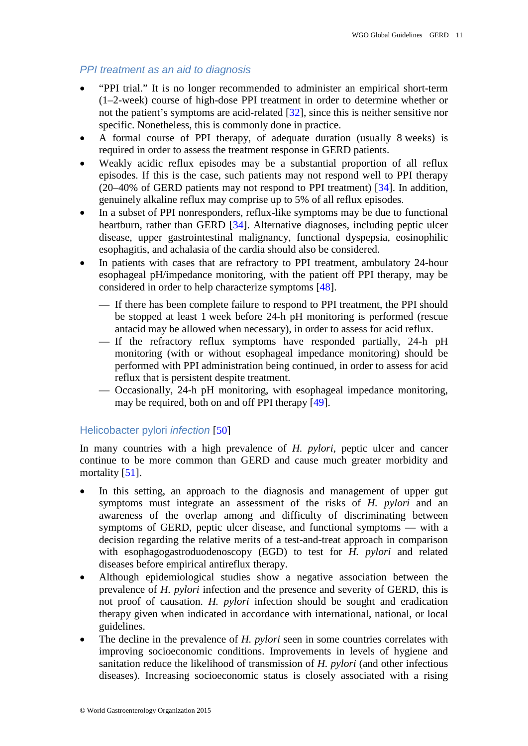#### *PPI treatment as an aid to diagnosis*

- "PPI trial." It is no longer recommended to administer an empirical short-term (1–2-week) course of high-dose PPI treatment in order to determine whether or not the patient's symptoms are acid-related [\[32\]](#page-33-13), since this is neither sensitive nor specific. Nonetheless, this is commonly done in practice.
- A formal course of PPI therapy, of adequate duration (usually 8 weeks) is required in order to assess the treatment response in GERD patients.
- Weakly acidic reflux episodes may be a substantial proportion of all reflux episodes. If this is the case, such patients may not respond well to PPI therapy (20–40% of GERD patients may not respond to PPI treatment) [\[34\]](#page-33-15). In addition, genuinely alkaline reflux may comprise up to 5% of all reflux episodes.
- In a subset of PPI nonresponders, reflux-like symptoms may be due to functional heartburn, rather than GERD [\[34\]](#page-33-15). Alternative diagnoses, including peptic ulcer disease, upper gastrointestinal malignancy, functional dyspepsia, eosinophilic esophagitis, and achalasia of the cardia should also be considered.
- In patients with cases that are refractory to PPI treatment, ambulatory 24-hour esophageal pH/impedance monitoring, with the patient off PPI therapy, may be considered in order to help characterize symptoms [\[48\]](#page-34-11).
	- If there has been complete failure to respond to PPI treatment, the PPI should be stopped at least 1 week before 24-h pH monitoring is performed (rescue antacid may be allowed when necessary), in order to assess for acid reflux.
	- If the refractory reflux symptoms have responded partially, 24-h pH monitoring (with or without esophageal impedance monitoring) should be performed with PPI administration being continued, in order to assess for acid reflux that is persistent despite treatment.
	- Occasionally, 24-h pH monitoring, with esophageal impedance monitoring, may be required, both on and off PPI therapy [\[49\]](#page-34-12).

#### Helicobacter pylori *infection* [\[50\]](#page-34-13)

In many countries with a high prevalence of *H. pylori*, peptic ulcer and cancer continue to be more common than GERD and cause much greater morbidity and mortality [\[51\]](#page-34-14).

- In this setting, an approach to the diagnosis and management of upper gut symptoms must integrate an assessment of the risks of *H. pylori* and an awareness of the overlap among and difficulty of discriminating between symptoms of GERD, peptic ulcer disease, and functional symptoms — with a decision regarding the relative merits of a test-and-treat approach in comparison with esophagogastroduodenoscopy (EGD) to test for *H. pylori* and related diseases before empirical antireflux therapy.
- Although epidemiological studies show a negative association between the prevalence of *H. pylori* infection and the presence and severity of GERD, this is not proof of causation. *H. pylori* infection should be sought and eradication therapy given when indicated in accordance with international, national, or local guidelines.
- The decline in the prevalence of *H. pylori* seen in some countries correlates with improving socioeconomic conditions. Improvements in levels of hygiene and sanitation reduce the likelihood of transmission of *H. pylori* (and other infectious diseases). Increasing socioeconomic status is closely associated with a rising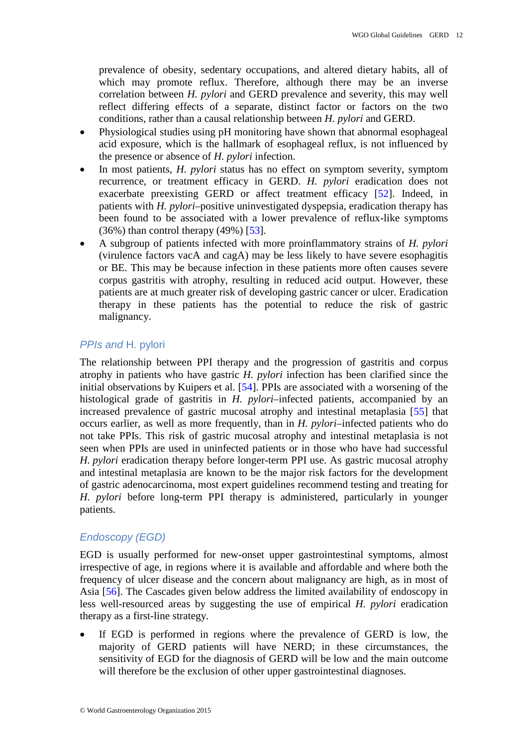prevalence of obesity, sedentary occupations, and altered dietary habits, all of which may promote reflux. Therefore, although there may be an inverse correlation between *H. pylori* and GERD prevalence and severity, this may well reflect differing effects of a separate, distinct factor or factors on the two conditions, rather than a causal relationship between *H. pylori* and GERD.

- Physiological studies using pH monitoring have shown that abnormal esophageal acid exposure, which is the hallmark of esophageal reflux, is not influenced by the presence or absence of *H. pylori* infection.
- In most patients, *H. pylori* status has no effect on symptom severity, symptom recurrence, or treatment efficacy in GERD. *H. pylori* eradication does not exacerbate preexisting GERD or affect treatment efficacy [\[52\]](#page-34-15). Indeed, in patients with *H. pylori*–positive uninvestigated dyspepsia, eradication therapy has been found to be associated with a lower prevalence of reflux-like symptoms  $(36\%)$  than control therapy  $(49\%)$  [\[53\]](#page-34-16).
- A subgroup of patients infected with more proinflammatory strains of *H. pylori* (virulence factors vacA and cagA) may be less likely to have severe esophagitis or BE. This may be because infection in these patients more often causes severe corpus gastritis with atrophy, resulting in reduced acid output. However, these patients are at much greater risk of developing gastric cancer or ulcer. Eradication therapy in these patients has the potential to reduce the risk of gastric malignancy.

## **PPIs and H. pylori**

The relationship between PPI therapy and the progression of gastritis and corpus atrophy in patients who have gastric *H. pylori* infection has been clarified since the initial observations by Kuipers et al. [\[54\]](#page-35-0). PPIs are associated with a worsening of the histological grade of gastritis in *H. pylori*–infected patients, accompanied by an increased prevalence of gastric mucosal atrophy and intestinal metaplasia [\[55\]](#page-35-1) that occurs earlier, as well as more frequently, than in *H. pylori–*infected patients who do not take PPIs. This risk of gastric mucosal atrophy and intestinal metaplasia is not seen when PPIs are used in uninfected patients or in those who have had successful *H. pylori* eradication therapy before longer-term PPI use. As gastric mucosal atrophy and intestinal metaplasia are known to be the major risk factors for the development of gastric adenocarcinoma, most expert guidelines recommend testing and treating for *H. pylori* before long-term PPI therapy is administered, particularly in younger patients.

## *Endoscopy (EGD)*

EGD is usually performed for new-onset upper gastrointestinal symptoms, almost irrespective of age, in regions where it is available and affordable and where both the frequency of ulcer disease and the concern about malignancy are high, as in most of Asia [\[56\]](#page-35-2). The Cascades given below address the limited availability of endoscopy in less well-resourced areas by suggesting the use of empirical *H. pylori* eradication therapy as a first-line strategy.

If EGD is performed in regions where the prevalence of GERD is low, the majority of GERD patients will have NERD; in these circumstances, the sensitivity of EGD for the diagnosis of GERD will be low and the main outcome will therefore be the exclusion of other upper gastrointestinal diagnoses.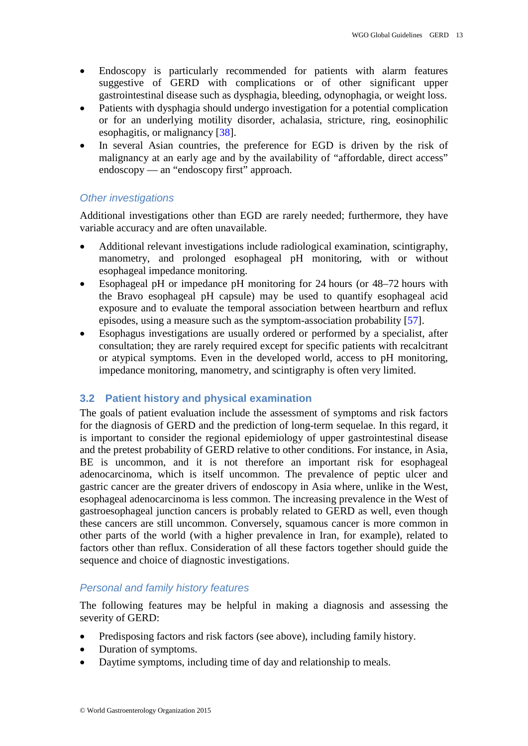- Endoscopy is particularly recommended for patients with alarm features suggestive of GERD with complications or of other significant upper gastrointestinal disease such as dysphagia, bleeding, odynophagia, or weight loss.
- Patients with dysphagia should undergo investigation for a potential complication or for an underlying motility disorder, achalasia, stricture, ring, eosinophilic esophagitis, or malignancy [\[38\]](#page-34-1).
- In several Asian countries, the preference for EGD is driven by the risk of malignancy at an early age and by the availability of "affordable, direct access" endoscopy — an "endoscopy first" approach.

## *Other investigations*

Additional investigations other than EGD are rarely needed; furthermore, they have variable accuracy and are often unavailable.

- Additional relevant investigations include radiological examination, scintigraphy, manometry, and prolonged esophageal pH monitoring, with or without esophageal impedance monitoring.
- Esophageal pH or impedance pH monitoring for 24 hours (or 48–72 hours with the Bravo esophageal pH capsule) may be used to quantify esophageal acid exposure and to evaluate the temporal association between heartburn and reflux episodes, using a measure such as the symptom-association probability [\[57\]](#page-35-3).
- Esophagus investigations are usually ordered or performed by a specialist, after consultation; they are rarely required except for specific patients with recalcitrant or atypical symptoms. Even in the developed world, access to pH monitoring, impedance monitoring, manometry, and scintigraphy is often very limited.

## <span id="page-12-0"></span>**3.2 Patient history and physical examination**

The goals of patient evaluation include the assessment of symptoms and risk factors for the diagnosis of GERD and the prediction of long-term sequelae. In this regard, it is important to consider the regional epidemiology of upper gastrointestinal disease and the pretest probability of GERD relative to other conditions. For instance, in Asia, BE is uncommon, and it is not therefore an important risk for esophageal adenocarcinoma, which is itself uncommon. The prevalence of peptic ulcer and gastric cancer are the greater drivers of endoscopy in Asia where, unlike in the West, esophageal adenocarcinoma is less common. The increasing prevalence in the West of gastroesophageal junction cancers is probably related to GERD as well, even though these cancers are still uncommon. Conversely, squamous cancer is more common in other parts of the world (with a higher prevalence in Iran, for example), related to factors other than reflux. Consideration of all these factors together should guide the sequence and choice of diagnostic investigations.

## *Personal and family history features*

The following features may be helpful in making a diagnosis and assessing the severity of GERD:

- Predisposing factors and risk factors (see above), including family history.
- Duration of symptoms.
- Daytime symptoms, including time of day and relationship to meals.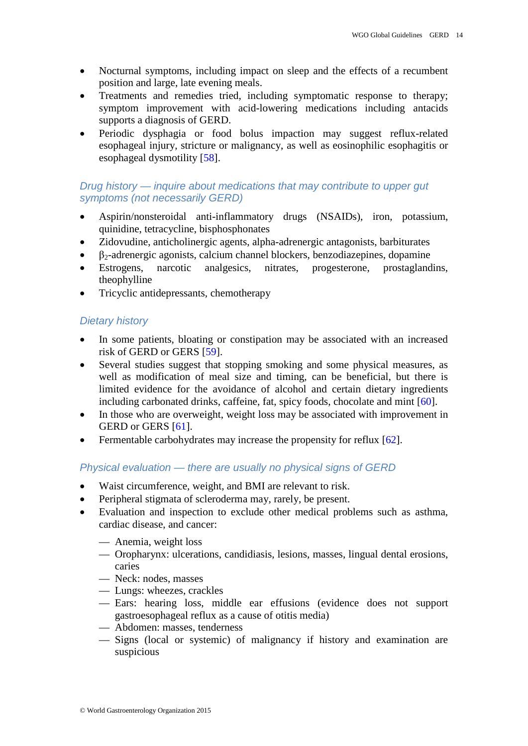- Nocturnal symptoms, including impact on sleep and the effects of a recumbent position and large, late evening meals.
- Treatments and remedies tried, including symptomatic response to therapy; symptom improvement with acid-lowering medications including antacids supports a diagnosis of GERD.
- Periodic dysphagia or food bolus impaction may suggest reflux-related esophageal injury, stricture or malignancy, as well as eosinophilic esophagitis or esophageal dysmotility [\[58\]](#page-35-4).

## *Drug history — inquire about medications that may contribute to upper gut symptoms (not necessarily GERD)*

- Aspirin/nonsteroidal anti-inflammatory drugs (NSAIDs), iron, potassium, quinidine, tetracycline, bisphosphonates
- Zidovudine, anticholinergic agents, alpha-adrenergic antagonists, barbiturates
- $\bullet$   $\beta_2$ -adrenergic agonists, calcium channel blockers, benzodiazepines, dopamine
- Estrogens, narcotic analgesics, nitrates, progesterone, prostaglandins, theophylline
- Tricyclic antidepressants, chemotherapy

## *Dietary history*

- In some patients, bloating or constipation may be associated with an increased risk of GERD or GERS [\[59\]](#page-35-5).
- Several studies suggest that stopping smoking and some physical measures, as well as modification of meal size and timing, can be beneficial, but there is limited evidence for the avoidance of alcohol and certain dietary ingredients including carbonated drinks, caffeine, fat, spicy foods, chocolate and mint [\[60\]](#page-35-6).
- In those who are overweight, weight loss may be associated with improvement in GERD or GERS [\[61\]](#page-35-7).
- Fermentable carbohydrates may increase the propensity for reflux [\[62\]](#page-35-8).

## *Physical evaluation — there are usually no physical signs of GERD*

- Waist circumference, weight, and BMI are relevant to risk.
- Peripheral stigmata of scleroderma may, rarely, be present.
- Evaluation and inspection to exclude other medical problems such as asthma, cardiac disease, and cancer:
	- Anemia, weight loss
	- Oropharynx: ulcerations, candidiasis, lesions, masses, lingual dental erosions, caries
	- Neck: nodes, masses
	- Lungs: wheezes, crackles
	- Ears: hearing loss, middle ear effusions (evidence does not support gastroesophageal reflux as a cause of otitis media)
	- Abdomen: masses, tenderness
	- Signs (local or systemic) of malignancy if history and examination are suspicious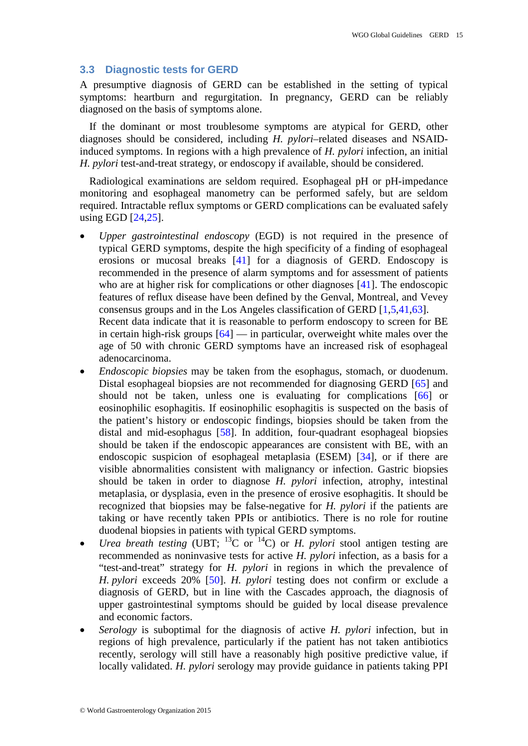#### <span id="page-14-0"></span>**3.3 Diagnostic tests for GERD**

A presumptive diagnosis of GERD can be established in the setting of typical symptoms: heartburn and regurgitation. In pregnancy, GERD can be reliably diagnosed on the basis of symptoms alone.

If the dominant or most troublesome symptoms are atypical for GERD, other diagnoses should be considered, including *H. pylori*–related diseases and NSAIDinduced symptoms. In regions with a high prevalence of *H. pylori* infection, an initial *H. pylori* test-and-treat strategy, or endoscopy if available, should be considered.

Radiological examinations are seldom required. Esophageal pH or pH-impedance monitoring and esophageal manometry can be performed safely, but are seldom required. Intractable reflux symptoms or GERD complications can be evaluated safely using EGD [\[24](#page-33-6)[,25\]](#page-33-7).

- *Upper gastrointestinal endoscopy* (EGD) is not required in the presence of typical GERD symptoms, despite the high specificity of a finding of esophageal erosions or mucosal breaks [\[41\]](#page-34-4) for a diagnosis of GERD. Endoscopy is recommended in the presence of alarm symptoms and for assessment of patients who are at higher risk for complications or other diagnoses [\[41\]](#page-34-4). The endoscopic features of reflux disease have been defined by the Genval, Montreal, and Vevey consensus groups and in the Los Angeles classification of GERD [\[1](#page-32-1)[,5](#page-32-5)[,41](#page-34-4)[,63\]](#page-35-9). Recent data indicate that it is reasonable to perform endoscopy to screen for BE in certain high-risk groups  $[64]$  — in particular, overweight white males over the age of 50 with chronic GERD symptoms have an increased risk of esophageal adenocarcinoma.
- *Endoscopic biopsies* may be taken from the esophagus, stomach, or duodenum. Distal esophageal biopsies are not recommended for diagnosing GERD [\[65\]](#page-35-11) and should not be taken, unless one is evaluating for complications [\[66\]](#page-35-12) or eosinophilic esophagitis. If eosinophilic esophagitis is suspected on the basis of the patient's history or endoscopic findings, biopsies should be taken from the distal and mid-esophagus [\[58\]](#page-35-4). In addition, four-quadrant esophageal biopsies should be taken if the endoscopic appearances are consistent with BE, with an endoscopic suspicion of esophageal metaplasia (ESEM) [\[34\]](#page-33-15), or if there are visible abnormalities consistent with malignancy or infection. Gastric biopsies should be taken in order to diagnose *H. pylori* infection, atrophy, intestinal metaplasia, or dysplasia, even in the presence of erosive esophagitis. It should be recognized that biopsies may be false-negative for *H. pylori* if the patients are taking or have recently taken PPIs or antibiotics. There is no role for routine duodenal biopsies in patients with typical GERD symptoms.
- *Urea breath testing* (UBT;  $^{13}C$  or  $^{14}C$ ) or *H. pylori* stool antigen testing are recommended as noninvasive tests for active *H. pylori* infection, as a basis for a "test-and-treat" strategy for *H. pylori* in regions in which the prevalence of *H. pylori* exceeds 20% [\[50\]](#page-34-13). *H. pylori* testing does not confirm or exclude a diagnosis of GERD, but in line with the Cascades approach, the diagnosis of upper gastrointestinal symptoms should be guided by local disease prevalence and economic factors.
- *Serology* is suboptimal for the diagnosis of active *H. pylori* infection, but in regions of high prevalence, particularly if the patient has not taken antibiotics recently, serology will still have a reasonably high positive predictive value, if locally validated. *H. pylori* serology may provide guidance in patients taking PPI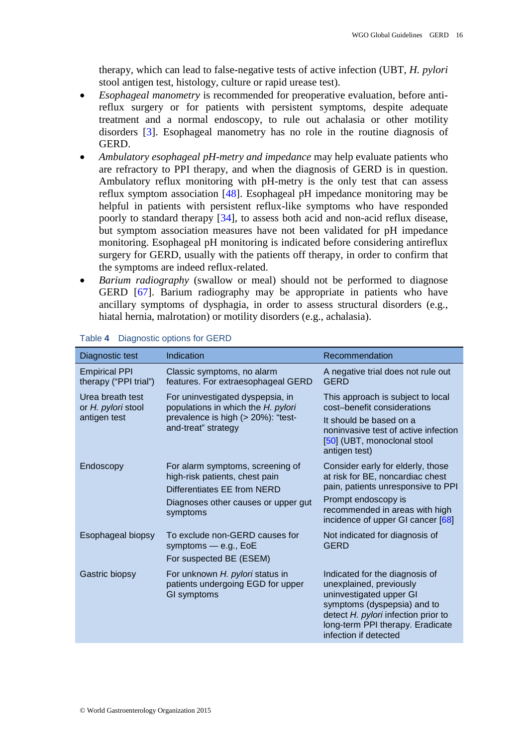therapy, which can lead to false-negative tests of active infection (UBT, *H. pylori* stool antigen test, histology, culture or rapid urease test).

- *Esophageal manometry* is recommended for preoperative evaluation, before antireflux surgery or for patients with persistent symptoms, despite adequate treatment and a normal endoscopy, to rule out achalasia or other motility disorders [\[3\]](#page-32-3). Esophageal manometry has no role in the routine diagnosis of GERD.
- *Ambulatory esophageal pH-metry and impedance* may help evaluate patients who are refractory to PPI therapy, and when the diagnosis of GERD is in question. Ambulatory reflux monitoring with pH-metry is the only test that can assess reflux symptom association [\[48\]](#page-34-11). Esophageal pH impedance monitoring may be helpful in patients with persistent reflux-like symptoms who have responded poorly to standard therapy [\[34\]](#page-33-15), to assess both acid and non-acid reflux disease, but symptom association measures have not been validated for pH impedance monitoring. Esophageal pH monitoring is indicated before considering antireflux surgery for GERD, usually with the patients off therapy, in order to confirm that the symptoms are indeed reflux-related.
- *Barium radiography* (swallow or meal) should not be performed to diagnose GERD [\[67\]](#page-35-13). Barium radiography may be appropriate in patients who have ancillary symptoms of dysphagia, in order to assess structural disorders (e.g., hiatal hernia, malrotation) or motility disorders (e.g., achalasia).

| Diagnostic test                                        | Indication                                                                                                                                           | Recommendation                                                                                                                                                                                                          |
|--------------------------------------------------------|------------------------------------------------------------------------------------------------------------------------------------------------------|-------------------------------------------------------------------------------------------------------------------------------------------------------------------------------------------------------------------------|
| <b>Empirical PPI</b><br>therapy ("PPI trial")          | Classic symptoms, no alarm<br>features. For extraesophageal GERD                                                                                     | A negative trial does not rule out<br><b>GERD</b>                                                                                                                                                                       |
| Urea breath test<br>or H. pylori stool<br>antigen test | For uninvestigated dyspepsia, in<br>populations in which the H. pylori<br>prevalence is high (> 20%): "test-<br>and-treat" strategy                  | This approach is subject to local<br>cost-benefit considerations<br>It should be based on a<br>noninvasive test of active infection<br>[50] (UBT, monoclonal stool<br>antigen test)                                     |
| Endoscopy                                              | For alarm symptoms, screening of<br>high-risk patients, chest pain<br>Differentiates EE from NERD<br>Diagnoses other causes or upper gut<br>symptoms | Consider early for elderly, those<br>at risk for BE, noncardiac chest<br>pain, patients unresponsive to PPI<br>Prompt endoscopy is<br>recommended in areas with high<br>incidence of upper GI cancer [68]               |
| Esophageal biopsy                                      | To exclude non-GERD causes for<br>symptoms - e.g., EoE<br>For suspected BE (ESEM)                                                                    | Not indicated for diagnosis of<br><b>GERD</b>                                                                                                                                                                           |
| Gastric biopsy                                         | For unknown H. pylori status in<br>patients undergoing EGD for upper<br>GI symptoms                                                                  | Indicated for the diagnosis of<br>unexplained, previously<br>uninvestigated upper GI<br>symptoms (dyspepsia) and to<br>detect H. pylori infection prior to<br>long-term PPI therapy. Eradicate<br>infection if detected |

#### Table **4** Diagnostic options for GERD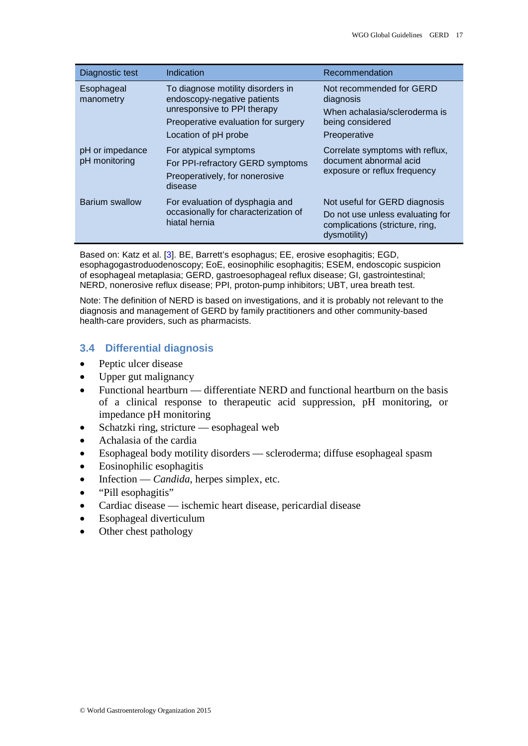| Diagnostic test                  | Indication                                                                                                                                                     | Recommendation                                                                                                       |
|----------------------------------|----------------------------------------------------------------------------------------------------------------------------------------------------------------|----------------------------------------------------------------------------------------------------------------------|
| Esophageal<br>manometry          | To diagnose motility disorders in<br>endoscopy-negative patients<br>unresponsive to PPI therapy<br>Preoperative evaluation for surgery<br>Location of pH probe | Not recommended for GERD<br>diagnosis<br>When achalasia/scleroderma is<br>being considered<br>Preoperative           |
| pH or impedance<br>pH monitoring | For atypical symptoms<br>For PPI-refractory GERD symptoms<br>Preoperatively, for nonerosive<br>disease                                                         | Correlate symptoms with reflux,<br>document abnormal acid<br>exposure or reflux frequency                            |
| Barium swallow                   | For evaluation of dysphagia and<br>occasionally for characterization of<br>hiatal hernia                                                                       | Not useful for GERD diagnosis<br>Do not use unless evaluating for<br>complications (stricture, ring,<br>dysmotility) |

Based on: Katz et al. [\[3\]](#page-32-3). BE, Barrett's esophagus; EE, erosive esophagitis; EGD, esophagogastroduodenoscopy; EoE, eosinophilic esophagitis; ESEM, endoscopic suspicion of esophageal metaplasia; GERD, gastroesophageal reflux disease; GI, gastrointestinal; NERD, nonerosive reflux disease; PPI, proton-pump inhibitors; UBT, urea breath test.

Note: The definition of NERD is based on investigations, and it is probably not relevant to the diagnosis and management of GERD by family practitioners and other community-based health-care providers, such as pharmacists.

## <span id="page-16-0"></span>**3.4 Differential diagnosis**

- Peptic ulcer disease
- Upper gut malignancy
- Functional heartburn differentiate NERD and functional heartburn on the basis of a clinical response to therapeutic acid suppression, pH monitoring, or impedance pH monitoring
- Schatzki ring, stricture esophageal web
- Achalasia of the cardia
- Esophageal body motility disorders scleroderma; diffuse esophageal spasm
- Eosinophilic esophagitis
- Infection *Candida,* herpes simplex, etc.
- "Pill esophagitis"
- Cardiac disease ischemic heart disease, pericardial disease
- Esophageal diverticulum
- Other chest pathology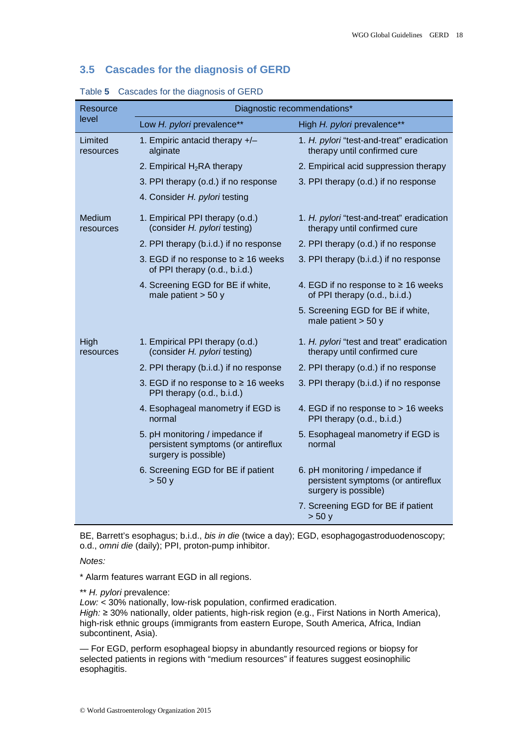#### <span id="page-17-0"></span>**3.5 Cascades for the diagnosis of GERD**

| Resource             | Diagnostic recommendations*                                                                   |                                                                                               |  |  |
|----------------------|-----------------------------------------------------------------------------------------------|-----------------------------------------------------------------------------------------------|--|--|
| level                | Low H. pylori prevalence**                                                                    | High H. pylori prevalence**                                                                   |  |  |
| Limited<br>resources | 1. Empiric antacid therapy +/-<br>alginate                                                    | 1. H. pylori "test-and-treat" eradication<br>therapy until confirmed cure                     |  |  |
|                      | 2. Empirical $H_2RA$ therapy                                                                  | 2. Empirical acid suppression therapy                                                         |  |  |
|                      | 3. PPI therapy (o.d.) if no response                                                          | 3. PPI therapy (o.d.) if no response                                                          |  |  |
|                      | 4. Consider H. pylori testing                                                                 |                                                                                               |  |  |
| Medium<br>resources  | 1. Empirical PPI therapy (o.d.)<br>(consider H. pylori testing)                               | 1. H. pylori "test-and-treat" eradication<br>therapy until confirmed cure                     |  |  |
|                      | 2. PPI therapy (b.i.d.) if no response                                                        | 2. PPI therapy (o.d.) if no response                                                          |  |  |
|                      | 3. EGD if no response to $\geq$ 16 weeks<br>of PPI therapy (o.d., b.i.d.)                     | 3. PPI therapy (b.i.d.) if no response                                                        |  |  |
|                      | 4. Screening EGD for BE if white,<br>male patient $>$ 50 y                                    | 4. EGD if no response to ≥ 16 weeks<br>of PPI therapy (o.d., b.i.d.)                          |  |  |
|                      |                                                                                               | 5. Screening EGD for BE if white,<br>male patient $>$ 50 y                                    |  |  |
| High<br>resources    | 1. Empirical PPI therapy (o.d.)<br>(consider H. pylori testing)                               | 1. H. pylori "test and treat" eradication<br>therapy until confirmed cure                     |  |  |
|                      | 2. PPI therapy (b.i.d.) if no response                                                        | 2. PPI therapy (o.d.) if no response                                                          |  |  |
|                      | 3. EGD if no response to $\geq$ 16 weeks<br>PPI therapy (o.d., b.i.d.)                        | 3. PPI therapy (b.i.d.) if no response                                                        |  |  |
|                      | 4. Esophageal manometry if EGD is<br>normal                                                   | 4. EGD if no response to > 16 weeks<br>PPI therapy (o.d., b.i.d.)                             |  |  |
|                      | 5. pH monitoring / impedance if<br>persistent symptoms (or antireflux<br>surgery is possible) | 5. Esophageal manometry if EGD is<br>normal                                                   |  |  |
|                      | 6. Screening EGD for BE if patient<br>> 50y                                                   | 6. pH monitoring / impedance if<br>persistent symptoms (or antireflux<br>surgery is possible) |  |  |
|                      |                                                                                               | 7. Screening EGD for BE if patient<br>> 50 y                                                  |  |  |

Table **5** Cascades for the diagnosis of GERD

BE, Barrett's esophagus; b.i.d., *bis in die* (twice a day); EGD, esophagogastroduodenoscopy; o.d., *omni die* (daily); PPI, proton-pump inhibitor.

*Notes:*

\* Alarm features warrant EGD in all regions.

\*\* *H. pylori* prevalence:

*Low:* < 30% nationally, low-risk population, confirmed eradication. *High:* ≥ 30% nationally, older patients, high-risk region (e.g., First Nations in North America), high-risk ethnic groups (immigrants from eastern Europe, South America, Africa, Indian subcontinent, Asia).

— For EGD, perform esophageal biopsy in abundantly resourced regions or biopsy for selected patients in regions with "medium resources" if features suggest eosinophilic esophagitis.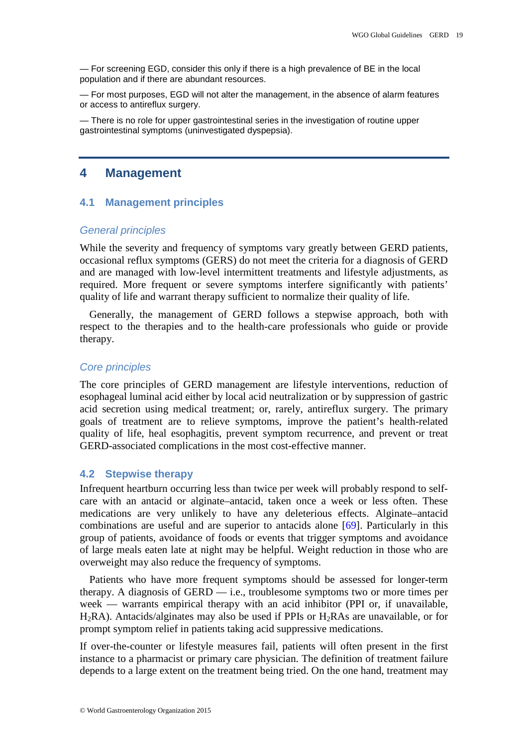— For screening EGD, consider this only if there is a high prevalence of BE in the local population and if there are abundant resources.

— For most purposes, EGD will not alter the management, in the absence of alarm features or access to antireflux surgery.

<span id="page-18-0"></span>— There is no role for upper gastrointestinal series in the investigation of routine upper gastrointestinal symptoms (uninvestigated dyspepsia).

## **4 Management**

## <span id="page-18-1"></span>**4.1 Management principles**

#### *General principles*

While the severity and frequency of symptoms vary greatly between GERD patients, occasional reflux symptoms (GERS) do not meet the criteria for a diagnosis of GERD and are managed with low-level intermittent treatments and lifestyle adjustments, as required. More frequent or severe symptoms interfere significantly with patients' quality of life and warrant therapy sufficient to normalize their quality of life.

Generally, the management of GERD follows a stepwise approach, both with respect to the therapies and to the health-care professionals who guide or provide therapy.

#### *Core principles*

The core principles of GERD management are lifestyle interventions, reduction of esophageal luminal acid either by local acid neutralization or by suppression of gastric acid secretion using medical treatment; or, rarely, antireflux surgery. The primary goals of treatment are to relieve symptoms, improve the patient's health-related quality of life, heal esophagitis, prevent symptom recurrence, and prevent or treat GERD-associated complications in the most cost-effective manner.

#### <span id="page-18-2"></span>**4.2 Stepwise therapy**

Infrequent heartburn occurring less than twice per week will probably respond to selfcare with an antacid or alginate–antacid, taken once a week or less often. These medications are very unlikely to have any deleterious effects. Alginate–antacid combinations are useful and are superior to antacids alone [\[69\]](#page-35-15). Particularly in this group of patients, avoidance of foods or events that trigger symptoms and avoidance of large meals eaten late at night may be helpful. Weight reduction in those who are overweight may also reduce the frequency of symptoms.

Patients who have more frequent symptoms should be assessed for longer-term therapy. A diagnosis of GERD — i.e., troublesome symptoms two or more times per week — warrants empirical therapy with an acid inhibitor (PPI or, if unavailable,  $H_2RA$ ). Antacids/alginates may also be used if PPIs or  $H_2RAs$  are unavailable, or for prompt symptom relief in patients taking acid suppressive medications.

If over-the-counter or lifestyle measures fail, patients will often present in the first instance to a pharmacist or primary care physician. The definition of treatment failure depends to a large extent on the treatment being tried. On the one hand, treatment may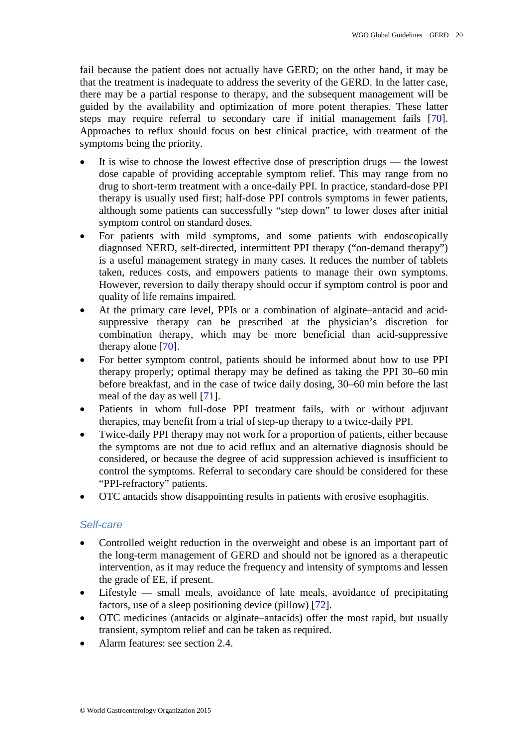fail because the patient does not actually have GERD; on the other hand, it may be that the treatment is inadequate to address the severity of the GERD. In the latter case, there may be a partial response to therapy, and the subsequent management will be guided by the availability and optimization of more potent therapies. These latter steps may require referral to secondary care if initial management fails [\[70\]](#page-35-16). Approaches to reflux should focus on best clinical practice, with treatment of the symptoms being the priority.

- It is wise to choose the lowest effective dose of prescription drugs the lowest dose capable of providing acceptable symptom relief. This may range from no drug to short-term treatment with a once-daily PPI. In practice, standard-dose PPI therapy is usually used first; half-dose PPI controls symptoms in fewer patients, although some patients can successfully "step down" to lower doses after initial symptom control on standard doses.
- For patients with mild symptoms, and some patients with endoscopically diagnosed NERD, self-directed, intermittent PPI therapy ("on-demand therapy") is a useful management strategy in many cases. It reduces the number of tablets taken, reduces costs, and empowers patients to manage their own symptoms. However, reversion to daily therapy should occur if symptom control is poor and quality of life remains impaired.
- At the primary care level, PPIs or a combination of alginate–antacid and acidsuppressive therapy can be prescribed at the physician's discretion for combination therapy, which may be more beneficial than acid-suppressive therapy alone [\[70\]](#page-35-16).
- For better symptom control, patients should be informed about how to use PPI therapy properly; optimal therapy may be defined as taking the PPI 30–60 min before breakfast, and in the case of twice daily dosing, 30–60 min before the last meal of the day as well [\[71\]](#page-35-17).
- Patients in whom full-dose PPI treatment fails, with or without adjuvant therapies, may benefit from a trial of step-up therapy to a twice-daily PPI.
- Twice-daily PPI therapy may not work for a proportion of patients, either because the symptoms are not due to acid reflux and an alternative diagnosis should be considered, or because the degree of acid suppression achieved is insufficient to control the symptoms. Referral to secondary care should be considered for these "PPI-refractory" patients.
- OTC antacids show disappointing results in patients with erosive esophagitis.

## *Self-care*

- Controlled weight reduction in the overweight and obese is an important part of the long-term management of GERD and should not be ignored as a therapeutic intervention, as it may reduce the frequency and intensity of symptoms and lessen the grade of EE, if present.
- Lifestyle small meals, avoidance of late meals, avoidance of precipitating factors, use of a sleep positioning device (pillow) [\[72\]](#page-35-18).
- OTC medicines (antacids or alginate–antacids) offer the most rapid, but usually transient, symptom relief and can be taken as required.
- Alarm features: see section 2.4.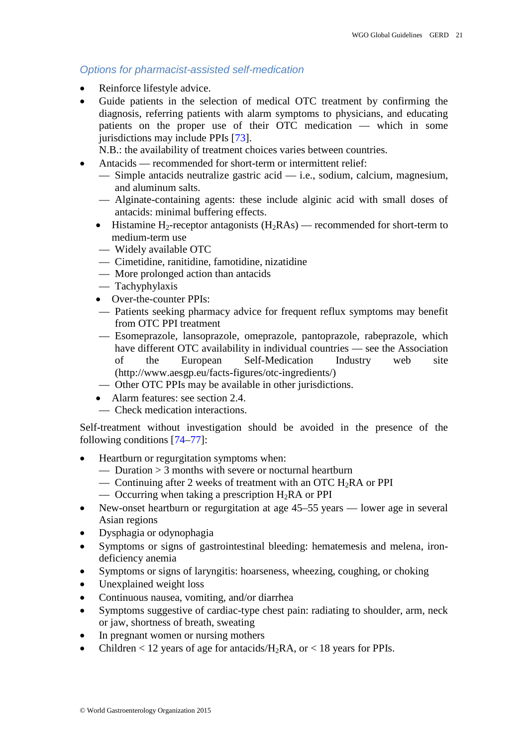## *Options for pharmacist-assisted self-medication*

- Reinforce lifestyle advice.
- Guide patients in the selection of medical OTC treatment by confirming the diagnosis, referring patients with alarm symptoms to physicians, and educating patients on the proper use of their OTC medication — which in some jurisdictions may include PPIs [\[73\]](#page-36-0).

N.B.: the availability of treatment choices varies between countries.

- Antacids recommended for short-term or intermittent relief:
	- Simple antacids neutralize gastric acid i.e., sodium, calcium, magnesium, and aluminum salts.
	- Alginate-containing agents: these include alginic acid with small doses of antacids: minimal buffering effects.
	- Histamine H<sub>2</sub>-receptor antagonists  $(H_2RAs)$  recommended for short-term to medium-term use
	- Widely available OTC
	- Cimetidine, ranitidine, famotidine, nizatidine
	- More prolonged action than antacids
	- Tachyphylaxis
	- Over-the-counter PPIs:
	- Patients seeking pharmacy advice for frequent reflux symptoms may benefit from OTC PPI treatment
	- Esomeprazole, lansoprazole, omeprazole, pantoprazole, rabeprazole, which have different OTC availability in individual countries — see the Association of the European Self-Medication Industry web site [\(http://www.aesgp.eu/facts-figures/otc-ingredients/\)](http://www.aesgp.eu/facts-figures/otc-ingredients/)
	- Other OTC PPIs may be available in other jurisdictions.
	- Alarm features: see section 2.4.
	- Check medication interactions.

Self-treatment without investigation should be avoided in the presence of the following conditions [\[74](#page-36-1)[–77\]](#page-36-2):

- Heartburn or regurgitation symptoms when:
	- Duration  $> 3$  months with severe or nocturnal heartburn
	- Continuing after 2 weeks of treatment with an OTC  $H_2RA$  or PPI
	- Occurring when taking a prescription  $H_2RA$  or PPI
- New-onset heartburn or regurgitation at age 45–55 years lower age in several Asian regions
- Dysphagia or odynophagia
- Symptoms or signs of gastrointestinal bleeding: hematemesis and melena, irondeficiency anemia
- Symptoms or signs of laryngitis: hoarseness, wheezing, coughing, or choking
- Unexplained weight loss
- Continuous nausea, vomiting, and/or diarrhea
- Symptoms suggestive of cardiac-type chest pain: radiating to shoulder, arm, neck or jaw, shortness of breath, sweating
- In pregnant women or nursing mothers
- Children  $< 12$  years of age for antacids/H<sub>2</sub>RA, or  $< 18$  years for PPIs.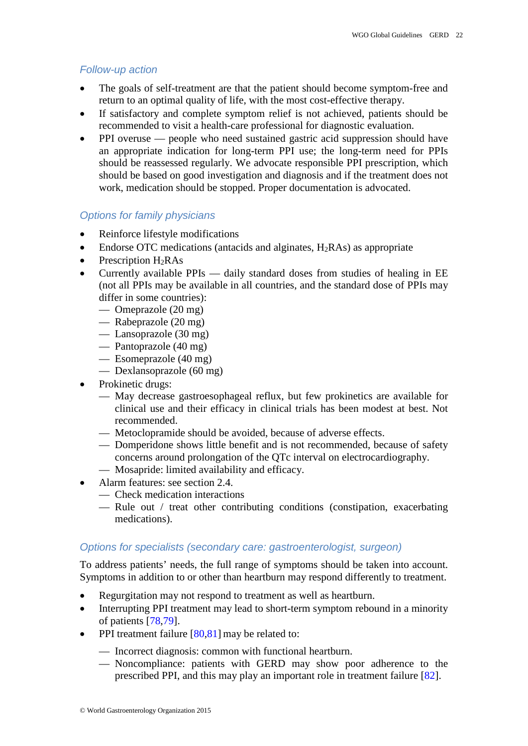## *Follow-up action*

- The goals of self-treatment are that the patient should become symptom-free and return to an optimal quality of life, with the most cost-effective therapy.
- If satisfactory and complete symptom relief is not achieved, patients should be recommended to visit a health-care professional for diagnostic evaluation.
- PPI overuse people who need sustained gastric acid suppression should have an appropriate indication for long-term PPI use; the long-term need for PPIs should be reassessed regularly. We advocate responsible PPI prescription, which should be based on good investigation and diagnosis and if the treatment does not work, medication should be stopped. Proper documentation is advocated.

## *Options for family physicians*

- Reinforce lifestyle modifications
- Endorse OTC medications (antacids and alginates,  $H_2RAs$ ) as appropriate
- Prescription  $H_2RAs$
- Currently available PPIs daily standard doses from studies of healing in EE (not all PPIs may be available in all countries, and the standard dose of PPIs may differ in some countries):
	- Omeprazole (20 mg)
	- Rabeprazole (20 mg)
	- Lansoprazole (30 mg)
	- Pantoprazole (40 mg)
	- Esomeprazole (40 mg)
	- Dexlansoprazole (60 mg)
- Prokinetic drugs:
	- May decrease gastroesophageal reflux, but few prokinetics are available for clinical use and their efficacy in clinical trials has been modest at best. Not recommended.
	- Metoclopramide should be avoided, because of adverse effects.
	- Domperidone shows little benefit and is not recommended, because of safety concerns around prolongation of the QTc interval on electrocardiography.
	- Mosapride: limited availability and efficacy.
- Alarm features: see section 2.4.
	- Check medication interactions
	- Rule out / treat other contributing conditions (constipation, exacerbating medications).

## *Options for specialists (secondary care: gastroenterologist, surgeon)*

To address patients' needs, the full range of symptoms should be taken into account. Symptoms in addition to or other than heartburn may respond differently to treatment.

- Regurgitation may not respond to treatment as well as heartburn.
- Interrupting PPI treatment may lead to short-term symptom rebound in a minority of patients [\[78,](#page-36-3)[79\]](#page-36-4).
- PPI treatment failure  $[80,81]$  $[80,81]$  may be related to:
	- Incorrect diagnosis: common with functional heartburn.
	- Noncompliance: patients with GERD may show poor adherence to the prescribed PPI, and this may play an important role in treatment failure [\[82\]](#page-36-7).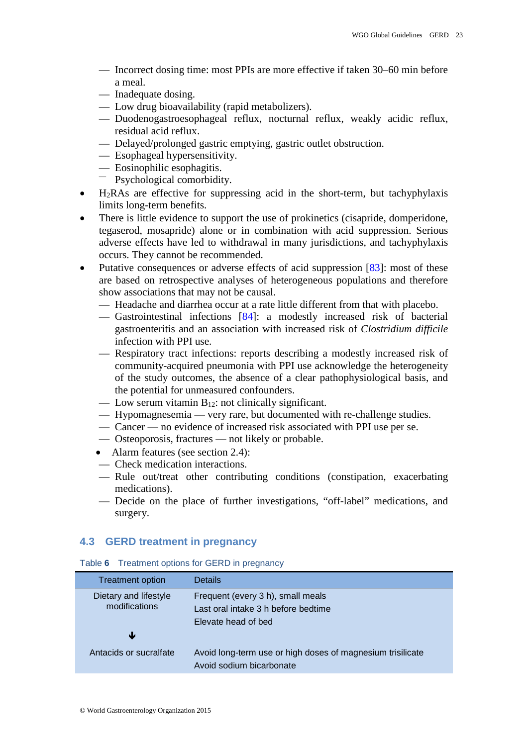- Incorrect dosing time: most PPIs are more effective if taken 30–60 min before a meal.
- Inadequate dosing.
- Low drug bioavailability (rapid metabolizers).
- Duodenogastroesophageal reflux, nocturnal reflux, weakly acidic reflux, residual acid reflux.
- Delayed/prolonged gastric emptying, gastric outlet obstruction.
- Esophageal hypersensitivity.
- Eosinophilic esophagitis.<br>
Psychological comorbidity.
- 
- H2RAs are effective for suppressing acid in the short-term, but tachyphylaxis limits long-term benefits.
- There is little evidence to support the use of prokinetics (cisapride, domperidone, tegaserod, mosapride) alone or in combination with acid suppression. Serious adverse effects have led to withdrawal in many jurisdictions, and tachyphylaxis occurs. They cannot be recommended.
- Putative consequences or adverse effects of acid suppression [\[83\]](#page-36-8): most of these are based on retrospective analyses of heterogeneous populations and therefore show associations that may not be causal.
	- Headache and diarrhea occur at a rate little different from that with placebo.
	- Gastrointestinal infections [\[84\]](#page-36-9): a modestly increased risk of bacterial gastroenteritis and an association with increased risk of *Clostridium difficile*  infection with PPI use.
	- Respiratory tract infections: reports describing a modestly increased risk of community-acquired pneumonia with PPI use acknowledge the heterogeneity of the study outcomes, the absence of a clear pathophysiological basis, and the potential for unmeasured confounders.
	- Low serum vitamin  $B_{12}$ : not clinically significant.
	- Hypomagnesemia very rare, but documented with re-challenge studies.
	- Cancer no evidence of increased risk associated with PPI use per se.
	- Osteoporosis, fractures not likely or probable.
	- Alarm features (see section 2.4):
	- Check medication interactions.
	- Rule out/treat other contributing conditions (constipation, exacerbating medications).
	- Decide on the place of further investigations, "off-label" medications, and surgery.

## <span id="page-22-0"></span>**4.3 GERD treatment in pregnancy**

| rapid of the common options for SERS in programs, |                                                                                        |
|---------------------------------------------------|----------------------------------------------------------------------------------------|
| <b>Treatment option</b>                           | <b>Details</b>                                                                         |
| Dietary and lifestyle<br>modifications            | Frequent (every 3 h), small meals<br>Last oral intake 3 h before bedtime               |
|                                                   | Elevate head of bed                                                                    |
| Ψ                                                 |                                                                                        |
| Antacids or sucralfate                            | Avoid long-term use or high doses of magnesium trisilicate<br>Avoid sodium bicarbonate |

Table **6** Treatment options for GERD in pregnancy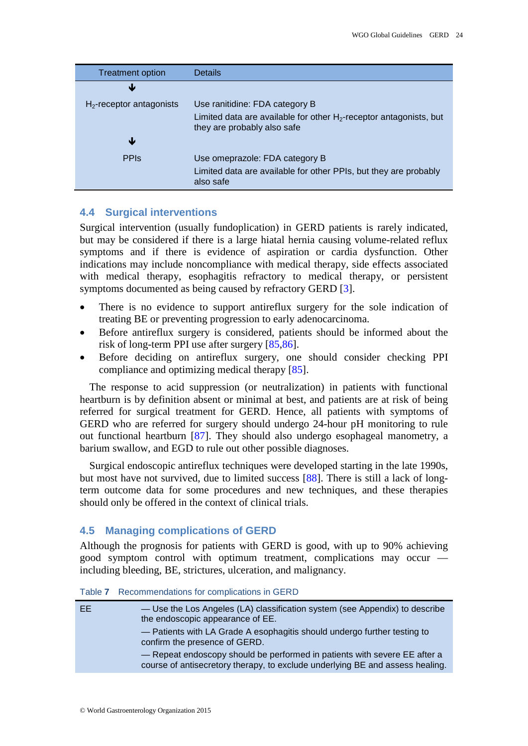| <b>Treatment option</b>     | <b>Details</b>                                                                                       |
|-----------------------------|------------------------------------------------------------------------------------------------------|
| Ψ                           |                                                                                                      |
| $H_2$ -receptor antagonists | Use ranitidine: FDA category B                                                                       |
|                             | Limited data are available for other $H_2$ -receptor antagonists, but<br>they are probably also safe |
| Ψ                           |                                                                                                      |
| <b>PPIS</b>                 | Use omeprazole: FDA category B                                                                       |
|                             | Limited data are available for other PPIs, but they are probably<br>also safe                        |

#### <span id="page-23-0"></span>**4.4 Surgical interventions**

Surgical intervention (usually fundoplication) in GERD patients is rarely indicated, but may be considered if there is a large hiatal hernia causing volume-related reflux symptoms and if there is evidence of aspiration or cardia dysfunction. Other indications may include noncompliance with medical therapy, side effects associated with medical therapy, esophagitis refractory to medical therapy, or persistent symptoms documented as being caused by refractory GERD [\[3\]](#page-32-3).

- There is no evidence to support antireflux surgery for the sole indication of treating BE or preventing progression to early adenocarcinoma.
- Before antireflux surgery is considered, patients should be informed about the risk of long-term PPI use after surgery [\[85](#page-36-10)[,86\]](#page-36-11).
- Before deciding on antireflux surgery, one should consider checking PPI compliance and optimizing medical therapy [\[85\]](#page-36-10).

The response to acid suppression (or neutralization) in patients with functional heartburn is by definition absent or minimal at best, and patients are at risk of being referred for surgical treatment for GERD. Hence, all patients with symptoms of GERD who are referred for surgery should undergo 24-hour pH monitoring to rule out functional heartburn [\[87\]](#page-36-12). They should also undergo esophageal manometry, a barium swallow, and EGD to rule out other possible diagnoses.

Surgical endoscopic antireflux techniques were developed starting in the late 1990s, but most have not survived, due to limited success [\[88\]](#page-36-13). There is still a lack of longterm outcome data for some procedures and new techniques, and these therapies should only be offered in the context of clinical trials.

## <span id="page-23-1"></span>**4.5 Managing complications of GERD**

Although the prognosis for patients with GERD is good, with up to 90% achieving good symptom control with optimum treatment, complications may occur including bleeding, BE, strictures, ulceration, and malignancy.

|  |  |  |  | Table 7 Recommendations for complications in GERD |  |  |  |  |  |  |
|--|--|--|--|---------------------------------------------------|--|--|--|--|--|--|
|--|--|--|--|---------------------------------------------------|--|--|--|--|--|--|

| EE. | - Use the Los Angeles (LA) classification system (see Appendix) to describe<br>the endoscopic appearance of EE.                                            |
|-----|------------------------------------------------------------------------------------------------------------------------------------------------------------|
|     | - Patients with LA Grade A esophagitis should undergo further testing to<br>confirm the presence of GERD.                                                  |
|     | - Repeat endoscopy should be performed in patients with severe EE after a<br>course of antisecretory therapy, to exclude underlying BE and assess healing. |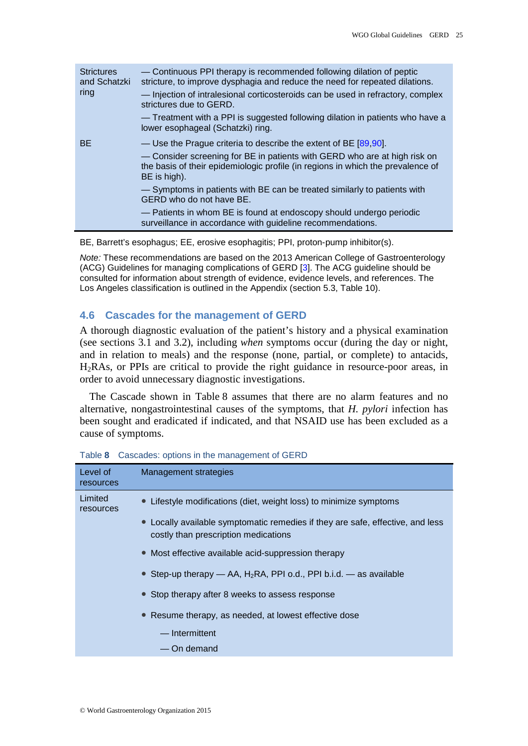| <b>Strictures</b><br>and Schatzki | — Continuous PPI therapy is recommended following dilation of peptic<br>stricture, to improve dysphagia and reduce the need for repeated dilations.                          |
|-----------------------------------|------------------------------------------------------------------------------------------------------------------------------------------------------------------------------|
| ring                              | - Injection of intralesional corticosteroids can be used in refractory, complex<br>strictures due to GERD.                                                                   |
|                                   | - Treatment with a PPI is suggested following dilation in patients who have a<br>lower esophageal (Schatzki) ring.                                                           |
| <b>BE</b>                         | — Use the Prague criteria to describe the extent of BE $[89,90]$ .                                                                                                           |
|                                   | - Consider screening for BE in patients with GERD who are at high risk on<br>the basis of their epidemiologic profile (in regions in which the prevalence of<br>BE is high). |
|                                   | - Symptoms in patients with BE can be treated similarly to patients with<br>GERD who do not have BE.                                                                         |
|                                   | - Patients in whom BE is found at endoscopy should undergo periodic<br>surveillance in accordance with guideline recommendations.                                            |

BE, Barrett's esophagus; EE, erosive esophagitis; PPI, proton-pump inhibitor(s).

*Note:* These recommendations are based on the 2013 American College of Gastroenterology (ACG) Guidelines for managing complications of GERD [\[3\]](#page-32-3). The ACG guideline should be consulted for information about strength of evidence, evidence levels, and references. The Los Angeles classification is outlined in the Appendix (section 5.3, Table 10).

### <span id="page-24-0"></span>**4.6 Cascades for the management of GERD**

A thorough diagnostic evaluation of the patient's history and a physical examination (see sections 3.1 and 3.2), including *when* symptoms occur (during the day or night, and in relation to meals) and the response (none, partial, or complete) to antacids, H2RAs, or PPIs are critical to provide the right guidance in resource-poor areas, in order to avoid unnecessary diagnostic investigations.

The Cascade shown in Table 8 assumes that there are no alarm features and no alternative, nongastrointestinal causes of the symptoms, that *H. pylori* infection has been sought and eradicated if indicated, and that NSAID use has been excluded as a cause of symptoms.

| Level of<br>resources | <b>Management strategies</b>                                                                                           |
|-----------------------|------------------------------------------------------------------------------------------------------------------------|
| Limited<br>resources  | • Lifestyle modifications (diet, weight loss) to minimize symptoms                                                     |
|                       | • Locally available symptomatic remedies if they are safe, effective, and less<br>costly than prescription medications |
|                       | • Most effective available acid-suppression therapy                                                                    |
|                       | • Step-up therapy $-$ AA, H <sub>2</sub> RA, PPI o.d., PPI b.i.d. $-$ as available                                     |
|                       | • Stop therapy after 8 weeks to assess response                                                                        |
|                       | • Resume therapy, as needed, at lowest effective dose                                                                  |
|                       | - Intermittent                                                                                                         |
|                       | — On demand                                                                                                            |

Table **8** Cascades: options in the management of GERD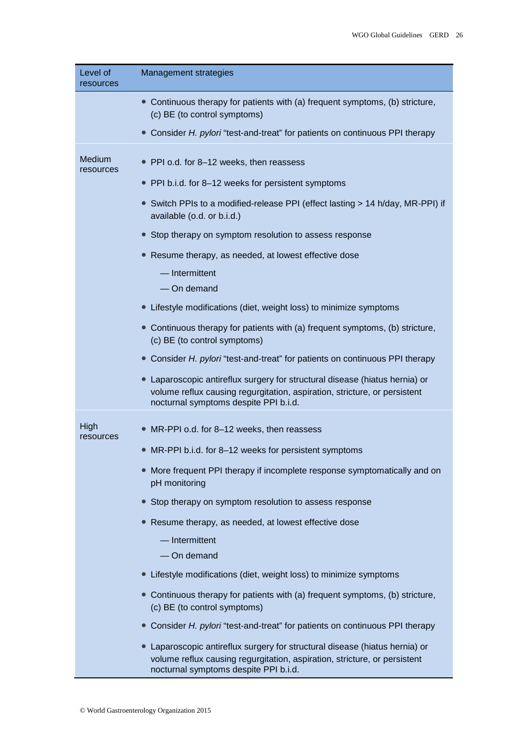| Level of<br>resources | Management strategies                                                                                                                                                                           |
|-----------------------|-------------------------------------------------------------------------------------------------------------------------------------------------------------------------------------------------|
|                       | • Continuous therapy for patients with (a) frequent symptoms, (b) stricture,<br>(c) BE (to control symptoms)                                                                                    |
|                       | Consider H. pylori "test-and-treat" for patients on continuous PPI therapy                                                                                                                      |
| Medium<br>resources   | PPI o.d. for 8-12 weeks, then reassess                                                                                                                                                          |
|                       | • PPI b.i.d. for 8-12 weeks for persistent symptoms                                                                                                                                             |
|                       | • Switch PPIs to a modified-release PPI (effect lasting > 14 h/day, MR-PPI) if<br>available (o.d. or b.i.d.)                                                                                    |
|                       | Stop therapy on symptom resolution to assess response                                                                                                                                           |
|                       | Resume therapy, as needed, at lowest effective dose                                                                                                                                             |
|                       | - Intermittent                                                                                                                                                                                  |
|                       | - On demand                                                                                                                                                                                     |
|                       | Lifestyle modifications (diet, weight loss) to minimize symptoms                                                                                                                                |
|                       | Continuous therapy for patients with (a) frequent symptoms, (b) stricture,<br>(c) BE (to control symptoms)                                                                                      |
|                       | Consider H. pylori "test-and-treat" for patients on continuous PPI therapy                                                                                                                      |
|                       | Laparoscopic antireflux surgery for structural disease (hiatus hernia) or<br>volume reflux causing regurgitation, aspiration, stricture, or persistent<br>nocturnal symptoms despite PPI b.i.d. |
| High<br>resources     | MR-PPI o.d. for 8-12 weeks, then reassess                                                                                                                                                       |
|                       | • MR-PPI b.i.d. for 8-12 weeks for persistent symptoms                                                                                                                                          |
|                       | More frequent PPI therapy if incomplete response symptomatically and on<br>pH monitoring                                                                                                        |
|                       | Stop therapy on symptom resolution to assess response                                                                                                                                           |
|                       | • Resume therapy, as needed, at lowest effective dose                                                                                                                                           |
|                       | $-$ Intermittent<br>- On demand                                                                                                                                                                 |
|                       | Lifestyle modifications (diet, weight loss) to minimize symptoms                                                                                                                                |
|                       | Continuous therapy for patients with (a) frequent symptoms, (b) stricture,<br>(c) BE (to control symptoms)                                                                                      |
|                       | Consider H. pylori "test-and-treat" for patients on continuous PPI therapy                                                                                                                      |
|                       | Laparoscopic antireflux surgery for structural disease (hiatus hernia) or<br>volume reflux causing regurgitation, aspiration, stricture, or persistent<br>nocturnal symptoms despite PPI b.i.d. |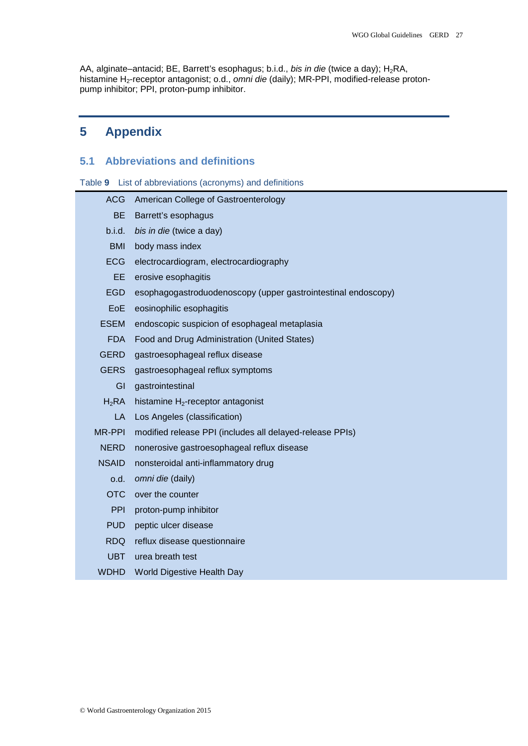AA, alginate–antacid; BE, Barrett's esophagus; b.i.d., *bis in die* (twice a day); H<sub>2</sub>RA, histamine H2-receptor antagonist; o.d., *omni die* (daily); MR-PPI, modified-release protonpump inhibitor; PPI, proton-pump inhibitor.

## <span id="page-26-0"></span>**5 Appendix**

## <span id="page-26-1"></span>**5.1 Abbreviations and definitions**

|  |  | Table 9 List of abbreviations (acronyms) and definitions |  |  |  |
|--|--|----------------------------------------------------------|--|--|--|
|--|--|----------------------------------------------------------|--|--|--|

<span id="page-26-2"></span>

| <b>ACG</b>    | American College of Gastroenterology                          |
|---------------|---------------------------------------------------------------|
| <b>BE</b>     | Barrett's esophagus                                           |
| b.i.d.        | bis in die (twice a day)                                      |
| <b>BMI</b>    | body mass index                                               |
| <b>ECG</b>    | electrocardiogram, electrocardiography                        |
| <b>EE</b>     | erosive esophagitis                                           |
| <b>EGD</b>    | esophagogastroduodenoscopy (upper gastrointestinal endoscopy) |
| EoE           | eosinophilic esophagitis                                      |
| <b>ESEM</b>   | endoscopic suspicion of esophageal metaplasia                 |
| <b>FDA</b>    | Food and Drug Administration (United States)                  |
| <b>GERD</b>   | gastroesophageal reflux disease                               |
| <b>GERS</b>   | gastroesophageal reflux symptoms                              |
| GI            | gastrointestinal                                              |
| $H_2RA$       | histamine $H_2$ -receptor antagonist                          |
| LA            | Los Angeles (classification)                                  |
| <b>MR-PPI</b> | modified release PPI (includes all delayed-release PPIs)      |
| <b>NERD</b>   | nonerosive gastroesophageal reflux disease                    |
| <b>NSAID</b>  | nonsteroidal anti-inflammatory drug                           |
| o.d.          | omni die (daily)                                              |
| <b>OTC</b>    | over the counter                                              |
| PPI           | proton-pump inhibitor                                         |
| <b>PUD</b>    | peptic ulcer disease                                          |
| <b>RDQ</b>    | reflux disease questionnaire                                  |
| <b>UBT</b>    | urea breath test                                              |
| <b>WDHD</b>   | <b>World Digestive Health Day</b>                             |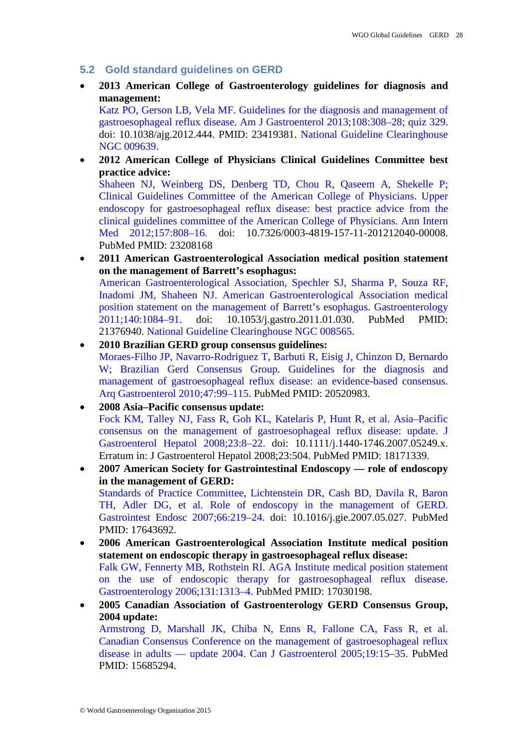- **5.2 Gold standard guidelines on GERD**
- **2013 American College of Gastroenterology guidelines for diagnosis and management:**

[Katz PO, Gerson LB, Vela MF. Guidelines for the diagnosis and management of](http://gi.org/guideline/diagnosis-and-managemen-of-gastroesophageal-reflux-disease/) [gastroesophageal reflux disease. Am J Gastroenterol](http://gi.org/guideline/diagnosis-and-managemen-of-gastroesophageal-reflux-disease/) 2013;108:308–28; quiz 329. doi: 10.1038/ajg.2012.444. PMID: 23419381. [National Guideline Clearinghouse](http://www.guideline.gov/content.aspx?id=43847&search=gerd)  [NGC 009639.](http://www.guideline.gov/content.aspx?id=43847&search=gerd)

• **2012 American College of Physicians Clinical Guidelines Committee best practice advice:**

[Shaheen NJ, Weinberg DS, Denberg TD, Chou R, Qaseem A, Shekelle P;](http://annals.org/article.aspx?articleid=1470281)  [Clinical Guidelines Committee of the American College of Physicians. Upper](http://annals.org/article.aspx?articleid=1470281)  [endoscopy for gastroesophageal reflux disease: best practice advice from the](http://annals.org/article.aspx?articleid=1470281)  [clinical guidelines committee of the American College of Physicians. Ann Intern](http://annals.org/article.aspx?articleid=1470281)  Med 2012;157:808-16. doi: 10.7326/0003-4819-157-11-201212040-00008. PubMed PMID: 23208168

• **2011 American Gastroenterological Association medical position statement on the management of Barrett's esophagus:** [American Gastroenterological Association, Spechler SJ, Sharma P, Souza RF,](http://www.gastrojournal.org/article/S0016-5085%2811%2900084-9/fulltext) 

[Inadomi JM, Shaheen NJ. American Gastroenterological Association medical](http://www.gastrojournal.org/article/S0016-5085%2811%2900084-9/fulltext)  [position statement on the management of Barrett's esophagus. Gastroenterology](http://www.gastrojournal.org/article/S0016-5085%2811%2900084-9/fulltext)  [2011;140:1084–91.](http://www.gastrojournal.org/article/S0016-5085%2811%2900084-9/fulltext) doi: 10.1053/j.gastro.2011.01.030. PubMed PMID: 21376940. [National Guideline Clearinghouse NGC](http://www.guideline.gov/content.aspx?id=34012&search=gerd) 008565.

- **2010 Brazilian GERD group consensus guidelines:** [Moraes-Filho JP, Navarro-Rodriguez T, Barbuti R, Eisig J, Chinzon D, Bernardo](http://www.scielo.br/scielo.php?script=sci_arttext&pid=S0004-28032010000100017&lng=en&nrm=iso&tlng=en)  [W; Brazilian Gerd Consensus Group. Guidelines for the diagnosis and](http://www.scielo.br/scielo.php?script=sci_arttext&pid=S0004-28032010000100017&lng=en&nrm=iso&tlng=en)  [management of gastroesophageal reflux disease: an evidence-based consensus.](http://www.scielo.br/scielo.php?script=sci_arttext&pid=S0004-28032010000100017&lng=en&nrm=iso&tlng=en)  [Arq Gastroenterol 2010;47:99–115.](http://www.scielo.br/scielo.php?script=sci_arttext&pid=S0004-28032010000100017&lng=en&nrm=iso&tlng=en) PubMed PMID: 20520983.
- **2008 Asia–Pacific consensus update:** [Fock KM, Talley NJ, Fass R, Goh KL, Katelaris P, Hunt R, et al. Asia–Pacific](http://onlinelibrary.wiley.com/doi/10.1111/j.1440-1746.2007.05249.x/abstract;jsessionid=25FA98D34D20AA50DD960B38093C2F8C.f04t02)  consensus on [the management of gastroesophageal reflux disease: update. J](http://onlinelibrary.wiley.com/doi/10.1111/j.1440-1746.2007.05249.x/abstract;jsessionid=25FA98D34D20AA50DD960B38093C2F8C.f04t02)  [Gastroenterol Hepatol 2008;23:8–22.](http://onlinelibrary.wiley.com/doi/10.1111/j.1440-1746.2007.05249.x/abstract;jsessionid=25FA98D34D20AA50DD960B38093C2F8C.f04t02) doi: 10.1111/j.1440-1746.2007.05249.x. Erratum in: J Gastroenterol Hepatol 2008;23:504. PubMed PMID: 18171339.
- **2007 American Society for Gastrointestinal Endoscopy — role of endoscopy in the management of GERD:** [Standards of Practice Committee, Lichtenstein DR, Cash BD, Davila R, Baron](http://www.giejournal.org/article/S0016-5107%2807%2901992-X/abstract)  [TH, Adler DG, et al. Role of endoscopy in the management of GERD.](http://www.giejournal.org/article/S0016-5107%2807%2901992-X/abstract)  [Gastrointest Endosc 2007;66:219–24.](http://www.giejournal.org/article/S0016-5107%2807%2901992-X/abstract) doi: 10.1016/j.gie.2007.05.027. PubMed PMID: 17643692.
- **2006 American Gastroenterological Association Institute medical position statement on endoscopic therapy in gastroesophageal reflux disease:** [Falk GW, Fennerty MB, Rothstein RI. AGA Institute medical position statement](http://www.gastrojournal.org/article/S0016-5085%2806%2901757-4/fulltext) [on the use of endoscopic therapy for gastroesophageal reflux disease.](http://www.gastrojournal.org/article/S0016-5085%2806%2901757-4/fulltext) Gastroenterology [2006;131:1313–4.](http://www.gastrojournal.org/article/S0016-5085%2806%2901757-4/fulltext) PubMed PMID: 17030198.
- **2005 Canadian Association of Gastroenterology GERD Consensus Group, 2004 update:** [Armstrong D, Marshall JK, Chiba N, Enns R, Fallone CA, Fass R, et al.](http://www.pulsus.com/journals/abstract.jsp?sCurrPg=journal&jnlKy=2&atlKy=1442&isuKy=252&isArt=t)  [Canadian Consensus Conference on the management of gastroesophageal reflux](http://www.pulsus.com/journals/abstract.jsp?sCurrPg=journal&jnlKy=2&atlKy=1442&isuKy=252&isArt=t)  disease in adults — [update 2004. Can J Gastroenterol 2005;19:15–35.](http://www.pulsus.com/journals/abstract.jsp?sCurrPg=journal&jnlKy=2&atlKy=1442&isuKy=252&isArt=t) PubMed PMID: 15685294.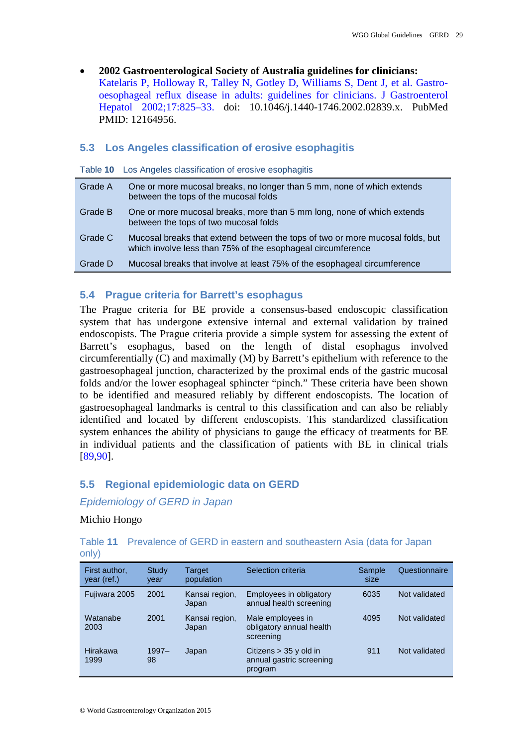• **2002 Gastroenterological Society of Australia guidelines for clinicians:** [Katelaris P, Holloway R, Talley N, Gotley D, Williams S, Dent J, et al. Gastro](http://onlinelibrary.wiley.com/doi/10.1046/j.1440-1746.2002.02839.x/full)[oesophageal reflux disease in adults: guidelines for clinicians. J Gastroenterol](http://onlinelibrary.wiley.com/doi/10.1046/j.1440-1746.2002.02839.x/full)  [Hepatol 2002;17:825–33.](http://onlinelibrary.wiley.com/doi/10.1046/j.1440-1746.2002.02839.x/full) doi: 10.1046/j.1440-1746.2002.02839.x. PubMed PMID: 12164956.

#### <span id="page-28-0"></span>**5.3 Los Angeles classification of erosive esophagitis**

|         | Table 10 Los Angeles classification of erosive esophagitis                                                                                   |
|---------|----------------------------------------------------------------------------------------------------------------------------------------------|
| Grade A | One or more mucosal breaks, no longer than 5 mm, none of which extends<br>between the tops of the mucosal folds                              |
| Grade B | One or more mucosal breaks, more than 5 mm long, none of which extends<br>between the tops of two mucosal folds                              |
| Grade C | Mucosal breaks that extend between the tops of two or more mucosal folds, but<br>which involve less than 75% of the esophageal circumference |
| Grade D | Mucosal breaks that involve at least 75% of the esophageal circumference                                                                     |

#### <span id="page-28-1"></span>**5.4 Prague criteria for Barrett's esophagus**

The Prague criteria for BE provide a consensus-based endoscopic classification system that has undergone extensive internal and external validation by trained endoscopists. The Prague criteria provide a simple system for assessing the extent of Barrett's esophagus, based on the length of distal esophagus involved circumferentially (C) and maximally (M) by Barrett's epithelium with reference to the gastroesophageal junction, characterized by the proximal ends of the gastric mucosal folds and/or the lower esophageal sphincter "pinch." These criteria have been shown to be identified and measured reliably by different endoscopists. The location of gastroesophageal landmarks is central to this classification and can also be reliably identified and located by different endoscopists. This standardized classification system enhances the ability of physicians to gauge the efficacy of treatments for BE in individual patients and the classification of patients with BE in clinical trials [\[89](#page-36-14)[,90\]](#page-36-15).

#### <span id="page-28-2"></span>**5.5 Regional epidemiologic data on GERD**

*Epidemiology of GERD in Japan*

#### Michio Hongo

Table **11** Prevalence of GERD in eastern and southeastern Asia (data for Japan only)

| First author,<br>year (ref.) | Study<br>year  | Target<br>population    | Selection criteria                                              | Sample<br>size | Questionnaire |
|------------------------------|----------------|-------------------------|-----------------------------------------------------------------|----------------|---------------|
| Fujiwara 2005                | 2001           | Kansai region,<br>Japan | Employees in obligatory<br>annual health screening              | 6035           | Not validated |
| Watanabe<br>2003             | 2001           | Kansai region,<br>Japan | Male employees in<br>obligatory annual health<br>screening      | 4095           | Not validated |
| Hirakawa<br>1999             | $1997 -$<br>98 | Japan                   | Citizens $>$ 35 y old in<br>annual gastric screening<br>program | 911            | Not validated |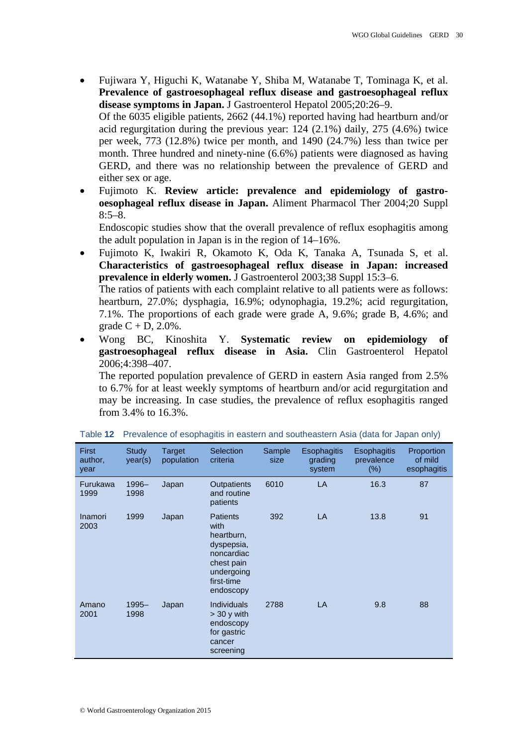• Fujiwara Y, Higuchi K, Watanabe Y, Shiba M, Watanabe T, Tominaga K, et al. **Prevalence of gastroesophageal reflux disease and gastroesophageal reflux disease symptoms in Japan.** J Gastroenterol Hepatol 2005;20:26–9.

Of the 6035 eligible patients, 2662 (44.1%) reported having had heartburn and/or acid regurgitation during the previous year: 124 (2.1%) daily, 275 (4.6%) twice per week, 773 (12.8%) twice per month, and 1490 (24.7%) less than twice per month. Three hundred and ninety-nine (6.6%) patients were diagnosed as having GERD, and there was no relationship between the prevalence of GERD and either sex or age.

• Fujimoto K. **Review article: prevalence and epidemiology of gastrooesophageal reflux disease in Japan.** Aliment Pharmacol Ther 2004;20 Suppl  $8:5-8.$ 

Endoscopic studies show that the overall prevalence of reflux esophagitis among the adult population in Japan is in the region of 14–16%.

• Fujimoto K, Iwakiri R, Okamoto K, Oda K, Tanaka A, Tsunada S, et al. **Characteristics of gastroesophageal reflux disease in Japan: increased prevalence in elderly women.** J Gastroenterol 2003;38 Suppl 15:3–6.

The ratios of patients with each complaint relative to all patients were as follows: heartburn, 27.0%; dysphagia, 16.9%; odynophagia, 19.2%; acid regurgitation, 7.1%. The proportions of each grade were grade A, 9.6%; grade B, 4.6%; and grade  $C + D$ , 2.0%.

• Wong BC, Kinoshita Y. **Systematic review on epidemiology of gastroesophageal reflux disease in Asia.** Clin Gastroenterol Hepatol 2006;4:398–407.

The reported population prevalence of GERD in eastern Asia ranged from 2.5% to 6.7% for at least weekly symptoms of heartburn and/or acid regurgitation and may be increasing. In case studies, the prevalence of reflux esophagitis ranged from 3.4% to 16.3%.

| <b>First</b><br>author,<br>year | Study<br>year(s) | Target<br>population | Selection<br>criteria                                                                                                    | Sample<br>size | <b>Esophagitis</b><br>grading<br>system | Esophagitis<br>prevalence<br>$(\%)$ | Proportion<br>of mild<br>esophagitis |
|---------------------------------|------------------|----------------------|--------------------------------------------------------------------------------------------------------------------------|----------------|-----------------------------------------|-------------------------------------|--------------------------------------|
| Furukawa<br>1999                | 1996-<br>1998    | Japan                | Outpatients<br>and routine<br>patients                                                                                   | 6010           | LA                                      | 16.3                                | 87                                   |
| Inamori<br>2003                 | 1999             | Japan                | <b>Patients</b><br>with<br>heartburn,<br>dyspepsia,<br>noncardiac<br>chest pain<br>undergoing<br>first-time<br>endoscopy | 392            | <b>LA</b>                               | 13.8                                | 91                                   |
| Amano<br>2001                   | 1995-<br>1998    | Japan                | <b>Individuals</b><br>$>$ 30 y with<br>endoscopy<br>for gastric<br>cancer<br>screening                                   | 2788           | LA                                      | 9.8                                 | 88                                   |

Table **12** Prevalence of esophagitis in eastern and southeastern Asia (data for Japan only)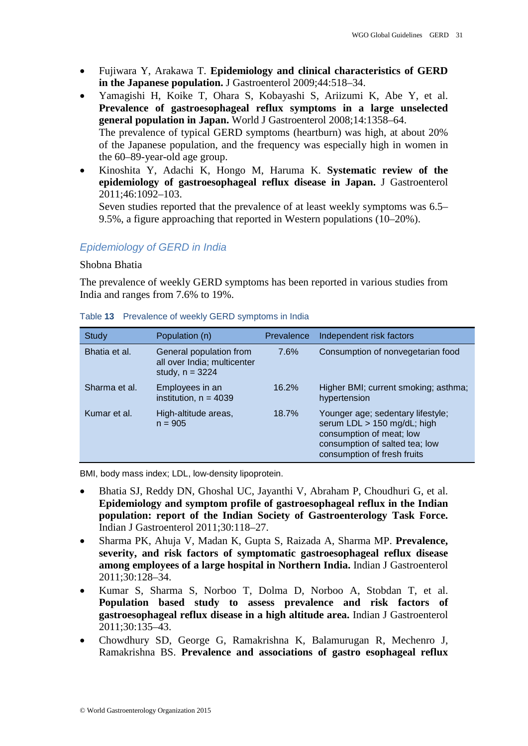- Fujiwara Y, Arakawa T. **Epidemiology and clinical characteristics of GERD in the Japanese population.** J Gastroenterol 2009;44:518–34.
- Yamagishi H, Koike T, Ohara S, Kobayashi S, Ariizumi K, Abe Y, et al. **Prevalence of gastroesophageal reflux symptoms in a large unselected general population in Japan.** World J Gastroenterol 2008;14:1358–64. The prevalence of typical GERD symptoms (heartburn) was high, at about 20% of the Japanese population, and the frequency was especially high in women in the 60–89-year-old age group.
- Kinoshita Y, Adachi K, Hongo M, Haruma K. **Systematic review of the epidemiology of gastroesophageal reflux disease in Japan.** J Gastroenterol 2011;46:1092–103.

Seven studies reported that the prevalence of at least weekly symptoms was 6.5– 9.5%, a figure approaching that reported in Western populations (10–20%).

## *Epidemiology of GERD in India*

## Shobna Bhatia

The prevalence of weekly GERD symptoms has been reported in various studies from India and ranges from 7.6% to 19%.

| Study         | Population (n)                                                              | Prevalence | Independent risk factors                                                                                                                                      |
|---------------|-----------------------------------------------------------------------------|------------|---------------------------------------------------------------------------------------------------------------------------------------------------------------|
| Bhatia et al. | General population from<br>all over India; multicenter<br>study, $n = 3224$ | 7.6%       | Consumption of nonvegetarian food                                                                                                                             |
| Sharma et al. | Employees in an<br>institution, $n = 4039$                                  | 16.2%      | Higher BMI; current smoking; asthma;<br>hypertension                                                                                                          |
| Kumar et al.  | High-altitude areas,<br>$n = 905$                                           | 18.7%      | Younger age; sedentary lifestyle;<br>serum LDL > 150 mg/dL; high<br>consumption of meat; low<br>consumption of salted tea; low<br>consumption of fresh fruits |

#### Table **13** Prevalence of weekly GERD symptoms in India

BMI, body mass index; LDL, low-density lipoprotein.

- Bhatia SJ, Reddy DN, Ghoshal UC, Jayanthi V, Abraham P, Choudhuri G, et al. **Epidemiology and symptom profile of gastroesophageal reflux in the Indian population: report of the Indian Society of Gastroenterology Task Force.** Indian J Gastroenterol 2011;30:118–27.
- Sharma PK, Ahuja V, Madan K, Gupta S, Raizada A, Sharma MP. **Prevalence, severity, and risk factors of symptomatic gastroesophageal reflux disease among employees of a large hospital in Northern India.** Indian J Gastroenterol 2011;30:128–34.
- Kumar S, Sharma S, Norboo T, Dolma D, Norboo A, Stobdan T, et al. **Population based study to assess prevalence and risk factors of gastroesophageal reflux disease in a high altitude area.** Indian J Gastroenterol 2011;30:135–43.
- Chowdhury SD, George G, Ramakrishna K, Balamurugan R, Mechenro J, Ramakrishna BS. **Prevalence and associations of gastro esophageal reflux**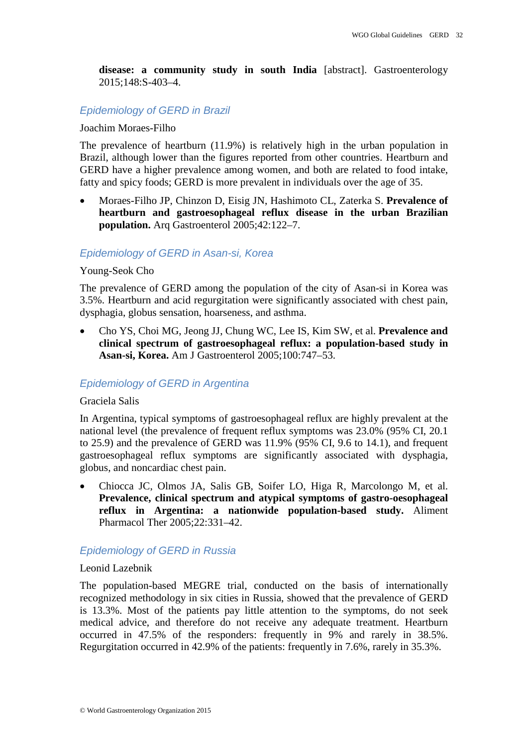**disease: a community study in south India** [abstract]. Gastroenterology 2015;148:S-403–4.

## *Epidemiology of GERD in Brazil*

#### Joachim Moraes-Filho

The prevalence of heartburn (11.9%) is relatively high in the urban population in Brazil, although lower than the figures reported from other countries. Heartburn and GERD have a higher prevalence among women, and both are related to food intake, fatty and spicy foods; GERD is more prevalent in individuals over the age of 35.

• Moraes-Filho JP, Chinzon D, Eisig JN, Hashimoto CL, Zaterka S. **Prevalence of heartburn and gastroesophageal reflux disease in the urban Brazilian population.** Arq Gastroenterol 2005;42:122–7.

## *Epidemiology of GERD in Asan-si, Korea*

#### Young-Seok Cho

The prevalence of GERD among the population of the city of Asan-si in Korea was 3.5%. Heartburn and acid regurgitation were significantly associated with chest pain, dysphagia, globus sensation, hoarseness, and asthma.

• Cho YS, Choi MG, Jeong JJ, Chung WC, Lee IS, Kim SW, et al. **Prevalence and clinical spectrum of gastroesophageal reflux: a population-based study in Asan-si, Korea.** Am J Gastroenterol 2005;100:747–53.

## *Epidemiology of GERD in Argentina*

#### Graciela Salis

In Argentina, typical symptoms of gastroesophageal reflux are highly prevalent at the national level (the prevalence of frequent reflux symptoms was 23.0% (95% CI, 20.1 to 25.9) and the prevalence of GERD was 11.9% (95% CI, 9.6 to 14.1), and frequent gastroesophageal reflux symptoms are significantly associated with dysphagia, globus, and noncardiac chest pain.

• Chiocca JC, Olmos JA, Salis GB, Soifer LO, Higa R, Marcolongo M, et al. **Prevalence, clinical spectrum and atypical symptoms of gastro-oesophageal reflux in Argentina: a nationwide population-based study.** Aliment Pharmacol Ther 2005;22:331–42.

## *Epidemiology of GERD in Russia*

#### Leonid Lazebnik

The population-based MEGRE trial, conducted on the basis of internationally recognized methodology in six cities in Russia, showed that the prevalence of GERD is 13.3%. Most of the patients pay little attention to the symptoms, do not seek medical advice, and therefore do not receive any adequate treatment. Heartburn occurred in 47.5% of the responders: frequently in 9% and rarely in 38.5%. Regurgitation occurred in 42.9% of the patients: frequently in 7.6%, rarely in 35.3%.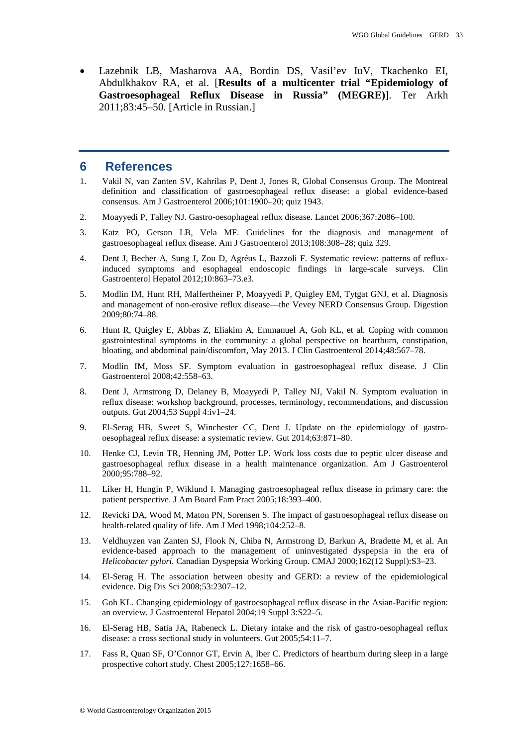• Lazebnik LB, Masharova AA, Bordin DS, Vasil'ev IuV, Tkachenko EI, Abdulkhakov RA, et al. [**Results of a multicenter trial "Epidemiology of Gastroesophageal Reflux Disease in Russia" (MEGRE)**]. Ter Arkh 2011;83:45–50. [Article in Russian.]

## <span id="page-32-0"></span>**6 References**

- <span id="page-32-1"></span>1. Vakil N, van Zanten SV, Kahrilas P, Dent J, Jones R, Global Consensus Group. The Montreal definition and classification of gastroesophageal reflux disease: a global evidence-based consensus. Am J Gastroenterol 2006;101:1900–20; quiz 1943.
- <span id="page-32-2"></span>2. Moayyedi P, Talley NJ. Gastro-oesophageal reflux disease. Lancet 2006;367:2086–100.
- <span id="page-32-3"></span>3. Katz PO, Gerson LB, Vela MF. Guidelines for the diagnosis and management of gastroesophageal reflux disease. Am J Gastroenterol 2013;108:308–28; quiz 329.
- <span id="page-32-4"></span>4. Dent J, Becher A, Sung J, Zou D, Agréus L, Bazzoli F. Systematic review: patterns of refluxinduced symptoms and esophageal endoscopic findings in large-scale surveys. Clin Gastroenterol Hepatol 2012;10:863–73.e3.
- <span id="page-32-5"></span>5. Modlin IM, Hunt RH, Malfertheiner P, Moayyedi P, Quigley EM, Tytgat GNJ, et al. Diagnosis and management of non-erosive reflux disease—the Vevey NERD Consensus Group. Digestion 2009;80:74–88.
- <span id="page-32-6"></span>6. Hunt R, Quigley E, Abbas Z, Eliakim A, Emmanuel A, Goh KL, et al. Coping with common gastrointestinal symptoms in the community: a global perspective on heartburn, constipation, bloating, and abdominal pain/discomfort, May 2013. J Clin Gastroenterol 2014;48:567–78.
- <span id="page-32-7"></span>7. Modlin IM, Moss SF. Symptom evaluation in gastroesophageal reflux disease. J Clin Gastroenterol 2008;42:558–63.
- <span id="page-32-8"></span>8. Dent J, Armstrong D, Delaney B, Moayyedi P, Talley NJ, Vakil N. Symptom evaluation in reflux disease: workshop background, processes, terminology, recommendations, and discussion outputs. Gut 2004;53 Suppl 4:iv1–24.
- <span id="page-32-9"></span>9. El-Serag HB, Sweet S, Winchester CC, Dent J. Update on the epidemiology of gastrooesophageal reflux disease: a systematic review. Gut 2014;63:871–80.
- <span id="page-32-10"></span>10. Henke CJ, Levin TR, Henning JM, Potter LP. Work loss costs due to peptic ulcer disease and gastroesophageal reflux disease in a health maintenance organization. Am J Gastroenterol 2000;95:788–92.
- <span id="page-32-11"></span>11. Liker H, Hungin P, Wiklund I. Managing gastroesophageal reflux disease in primary care: the patient perspective. J Am Board Fam Pract 2005;18:393–400.
- <span id="page-32-12"></span>12. Revicki DA, Wood M, Maton PN, Sorensen S. The impact of gastroesophageal reflux disease on health-related quality of life. Am J Med 1998;104:252–8.
- <span id="page-32-13"></span>13. Veldhuyzen van Zanten SJ, Flook N, Chiba N, Armstrong D, Barkun A, Bradette M, et al. An evidence-based approach to the management of uninvestigated dyspepsia in the era of *Helicobacter pylori.* Canadian Dyspepsia Working Group. CMAJ 2000;162(12 Suppl):S3–23.
- <span id="page-32-14"></span>14. El-Serag H. The association between obesity and GERD: a review of the epidemiological evidence. Dig Dis Sci 2008;53:2307–12.
- <span id="page-32-15"></span>15. Goh KL. Changing epidemiology of gastroesophageal reflux disease in the Asian-Pacific region: an overview. J Gastroenterol Hepatol 2004;19 Suppl 3:S22–5.
- <span id="page-32-16"></span>16. El-Serag HB, Satia JA, Rabeneck L. Dietary intake and the risk of gastro-oesophageal reflux disease: a cross sectional study in volunteers. Gut 2005;54:11–7.
- <span id="page-32-17"></span>17. Fass R, Quan SF, O'Connor GT, Ervin A, Iber C. Predictors of heartburn during sleep in a large prospective cohort study. Chest 2005;127:1658–66.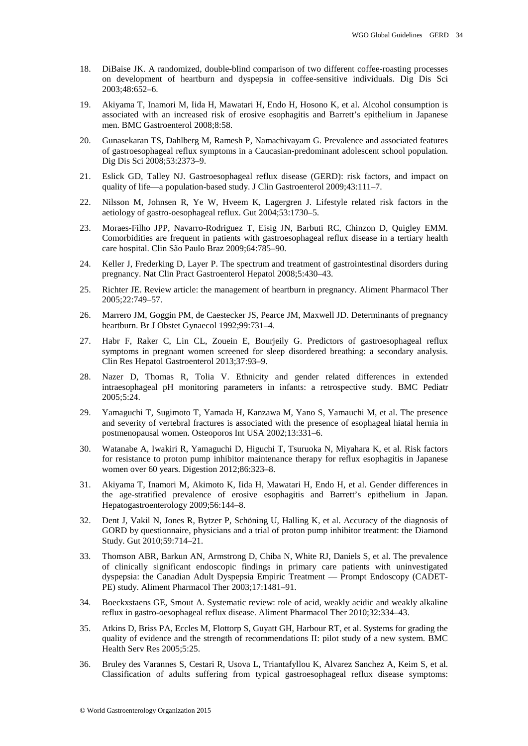- <span id="page-33-0"></span>18. DiBaise JK. A randomized, double-blind comparison of two different coffee-roasting processes on development of heartburn and dyspepsia in coffee-sensitive individuals. Dig Dis Sci 2003;48:652–6.
- <span id="page-33-1"></span>19. Akiyama T, Inamori M, Iida H, Mawatari H, Endo H, Hosono K, et al. Alcohol consumption is associated with an increased risk of erosive esophagitis and Barrett's epithelium in Japanese men. BMC Gastroenterol 2008;8:58.
- <span id="page-33-2"></span>20. Gunasekaran TS, Dahlberg M, Ramesh P, Namachivayam G. Prevalence and associated features of gastroesophageal reflux symptoms in a Caucasian-predominant adolescent school population. Dig Dis Sci 2008;53:2373–9.
- <span id="page-33-3"></span>21. Eslick GD, Talley NJ. Gastroesophageal reflux disease (GERD): risk factors, and impact on quality of life—a population-based study. J Clin Gastroenterol 2009;43:111–7.
- <span id="page-33-4"></span>22. Nilsson M, Johnsen R, Ye W, Hveem K, Lagergren J. Lifestyle related risk factors in the aetiology of gastro-oesophageal reflux. Gut 2004;53:1730–5.
- <span id="page-33-5"></span>23. Moraes-Filho JPP, Navarro-Rodriguez T, Eisig JN, Barbuti RC, Chinzon D, Quigley EMM. Comorbidities are frequent in patients with gastroesophageal reflux disease in a tertiary health care hospital. Clin São Paulo Braz 2009;64:785–90.
- <span id="page-33-6"></span>24. Keller J, Frederking D, Layer P. The spectrum and treatment of gastrointestinal disorders during pregnancy. Nat Clin Pract Gastroenterol Hepatol 2008;5:430–43.
- <span id="page-33-7"></span>25. Richter JE. Review article: the management of heartburn in pregnancy. Aliment Pharmacol Ther 2005;22:749–57.
- <span id="page-33-8"></span>26. Marrero JM, Goggin PM, de Caestecker JS, Pearce JM, Maxwell JD. Determinants of pregnancy heartburn. Br J Obstet Gynaecol 1992;99:731–4.
- <span id="page-33-9"></span>27. Habr F, Raker C, Lin CL, Zouein E, Bourjeily G. Predictors of gastroesophageal reflux symptoms in pregnant women screened for sleep disordered breathing: a secondary analysis. Clin Res Hepatol Gastroenterol 2013;37:93–9.
- <span id="page-33-10"></span>28. Nazer D, Thomas R, Tolia V. Ethnicity and gender related differences in extended intraesophageal pH monitoring parameters in infants: a retrospective study. BMC Pediatr 2005;5:24.
- <span id="page-33-11"></span>29. Yamaguchi T, Sugimoto T, Yamada H, Kanzawa M, Yano S, Yamauchi M, et al. The presence and severity of vertebral fractures is associated with the presence of esophageal hiatal hernia in postmenopausal women. Osteoporos Int USA 2002;13:331–6.
- 30. Watanabe A, Iwakiri R, Yamaguchi D, Higuchi T, Tsuruoka N, Miyahara K, et al. Risk factors for resistance to proton pump inhibitor maintenance therapy for reflux esophagitis in Japanese women over 60 years. Digestion 2012;86:323–8.
- <span id="page-33-12"></span>31. Akiyama T, Inamori M, Akimoto K, Iida H, Mawatari H, Endo H, et al. Gender differences in the age-stratified prevalence of erosive esophagitis and Barrett's epithelium in Japan. Hepatogastroenterology 2009;56:144–8.
- <span id="page-33-13"></span>32. Dent J, Vakil N, Jones R, Bytzer P, Schöning U, Halling K, et al. Accuracy of the diagnosis of GORD by questionnaire, physicians and a trial of proton pump inhibitor treatment: the Diamond Study. Gut 2010;59:714–21.
- <span id="page-33-14"></span>33. Thomson ABR, Barkun AN, Armstrong D, Chiba N, White RJ, Daniels S, et al. The prevalence of clinically significant endoscopic findings in primary care patients with uninvestigated dyspepsia: the Canadian Adult Dyspepsia Empiric Treatment — Prompt Endoscopy (CADET-PE) study. Aliment Pharmacol Ther 2003;17:1481–91.
- <span id="page-33-15"></span>34. Boeckxstaens GE, Smout A. Systematic review: role of acid, weakly acidic and weakly alkaline reflux in gastro-oesophageal reflux disease. Aliment Pharmacol Ther 2010;32:334–43.
- <span id="page-33-16"></span>35. Atkins D, Briss PA, Eccles M, Flottorp S, Guyatt GH, Harbour RT, et al. Systems for grading the quality of evidence and the strength of recommendations II: pilot study of a new system. BMC Health Serv Res 2005;5:25.
- <span id="page-33-17"></span>36. Bruley des Varannes S, Cestari R, Usova L, Triantafyllou K, Alvarez Sanchez A, Keim S, et al. Classification of adults suffering from typical gastroesophageal reflux disease symptoms: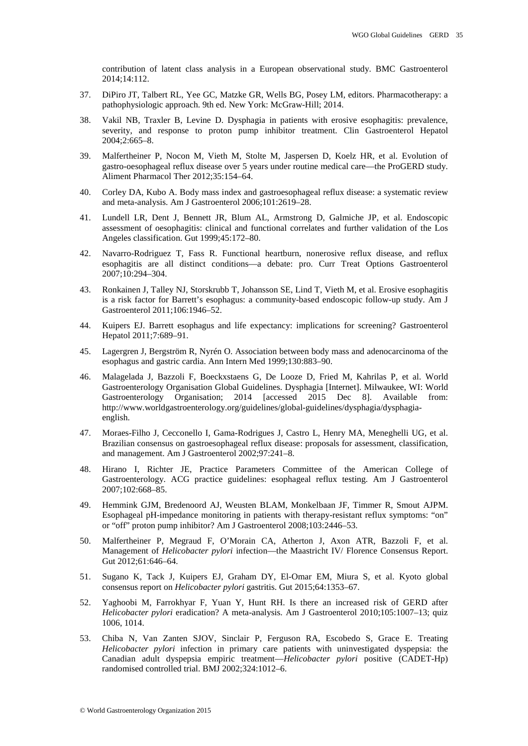contribution of latent class analysis in a European observational study. BMC Gastroenterol 2014;14:112.

- <span id="page-34-0"></span>37. DiPiro JT, Talbert RL, Yee GC, Matzke GR, Wells BG, Posey LM, editors. Pharmacotherapy: a pathophysiologic approach. 9th ed. New York: McGraw-Hill; 2014.
- <span id="page-34-1"></span>38. Vakil NB, Traxler B, Levine D. Dysphagia in patients with erosive esophagitis: prevalence, severity, and response to proton pump inhibitor treatment. Clin Gastroenterol Hepatol 2004;2:665–8.
- <span id="page-34-2"></span>39. Malfertheiner P, Nocon M, Vieth M, Stolte M, Jaspersen D, Koelz HR, et al. Evolution of gastro-oesophageal reflux disease over 5 years under routine medical care—the ProGERD study. Aliment Pharmacol Ther 2012;35:154–64.
- <span id="page-34-3"></span>40. Corley DA, Kubo A. Body mass index and gastroesophageal reflux disease: a systematic review and meta-analysis. Am J Gastroenterol 2006;101:2619–28.
- <span id="page-34-4"></span>41. Lundell LR, Dent J, Bennett JR, Blum AL, Armstrong D, Galmiche JP, et al. Endoscopic assessment of oesophagitis: clinical and functional correlates and further validation of the Los Angeles classification. Gut 1999;45:172–80.
- <span id="page-34-5"></span>42. Navarro-Rodriguez T, Fass R. Functional heartburn, nonerosive reflux disease, and reflux esophagitis are all distinct conditions—a debate: pro. Curr Treat Options Gastroenterol 2007;10:294–304.
- <span id="page-34-6"></span>43. Ronkainen J, Talley NJ, Storskrubb T, Johansson SE, Lind T, Vieth M, et al. Erosive esophagitis is a risk factor for Barrett's esophagus: a community-based endoscopic follow-up study. Am J Gastroenterol 2011;106:1946–52.
- <span id="page-34-7"></span>44. Kuipers EJ. Barrett esophagus and life expectancy: implications for screening? Gastroenterol Hepatol 2011;7:689–91.
- <span id="page-34-8"></span>45. Lagergren J, Bergström R, Nyrén O. Association between body mass and adenocarcinoma of the esophagus and gastric cardia. Ann Intern Med 1999;130:883–90.
- <span id="page-34-9"></span>46. Malagelada J, Bazzoli F, Boeckxstaens G, De Looze D, Fried M, Kahrilas P, et al. World Gastroenterology Organisation Global Guidelines. Dysphagia [Internet]. Milwaukee, WI: World Gastroenterology Organisation; 2014 [accessed 2015 Dec 8]. Available from: http://www.worldgastroenterology.org/guidelines/global-guidelines/dysphagia/dysphagiaenglish.
- <span id="page-34-10"></span>47. Moraes-Filho J, Cecconello I, Gama-Rodrigues J, Castro L, Henry MA, Meneghelli UG, et al. Brazilian consensus on gastroesophageal reflux disease: proposals for assessment, classification, and management. Am J Gastroenterol 2002;97:241–8.
- <span id="page-34-11"></span>48. Hirano I, Richter JE, Practice Parameters Committee of the American College of Gastroenterology. ACG practice guidelines: esophageal reflux testing. Am J Gastroenterol 2007;102:668–85.
- <span id="page-34-12"></span>49. Hemmink GJM, Bredenoord AJ, Weusten BLAM, Monkelbaan JF, Timmer R, Smout AJPM. Esophageal pH-impedance monitoring in patients with therapy-resistant reflux symptoms: "on" or "off" proton pump inhibitor? Am J Gastroenterol 2008;103:2446–53.
- <span id="page-34-13"></span>50. Malfertheiner P, Megraud F, O'Morain CA, Atherton J, Axon ATR, Bazzoli F, et al. Management of *Helicobacter pylori* infection—the Maastricht IV/ Florence Consensus Report. Gut 2012;61:646–64.
- <span id="page-34-14"></span>51. Sugano K, Tack J, Kuipers EJ, Graham DY, El-Omar EM, Miura S, et al. Kyoto global consensus report on *Helicobacter pylori* gastritis. Gut 2015;64:1353–67.
- <span id="page-34-15"></span>52. Yaghoobi M, Farrokhyar F, Yuan Y, Hunt RH. Is there an increased risk of GERD after *Helicobacter pylori* eradication? A meta-analysis. Am J Gastroenterol 2010;105:1007–13; quiz 1006, 1014.
- <span id="page-34-16"></span>53. Chiba N, Van Zanten SJOV, Sinclair P, Ferguson RA, Escobedo S, Grace E. Treating *Helicobacter pylori* infection in primary care patients with uninvestigated dyspepsia: the Canadian adult dyspepsia empiric treatment—*Helicobacter pylori* positive (CADET-Hp) randomised controlled trial. BMJ 2002;324:1012–6.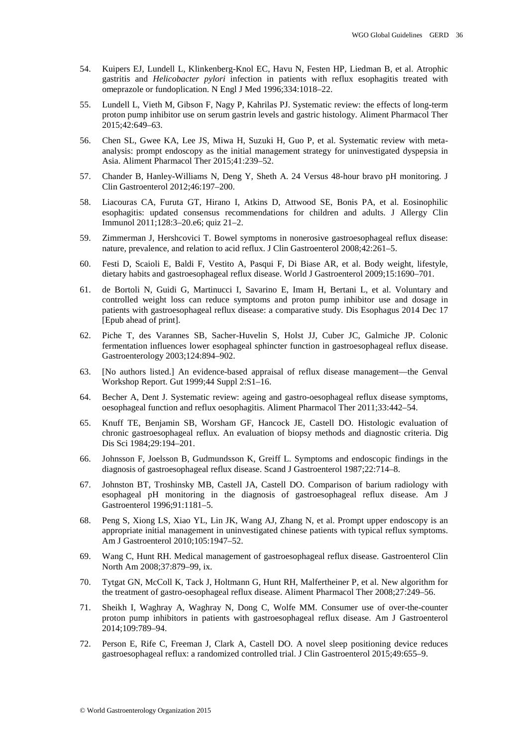- <span id="page-35-0"></span>54. Kuipers EJ, Lundell L, Klinkenberg-Knol EC, Havu N, Festen HP, Liedman B, et al. Atrophic gastritis and *Helicobacter pylori* infection in patients with reflux esophagitis treated with omeprazole or fundoplication. N Engl J Med 1996;334:1018–22.
- <span id="page-35-1"></span>55. Lundell L, Vieth M, Gibson F, Nagy P, Kahrilas PJ. Systematic review: the effects of long-term proton pump inhibitor use on serum gastrin levels and gastric histology. Aliment Pharmacol Ther 2015;42:649–63.
- <span id="page-35-2"></span>56. Chen SL, Gwee KA, Lee JS, Miwa H, Suzuki H, Guo P, et al. Systematic review with metaanalysis: prompt endoscopy as the initial management strategy for uninvestigated dyspepsia in Asia. Aliment Pharmacol Ther 2015;41:239–52.
- <span id="page-35-3"></span>57. Chander B, Hanley-Williams N, Deng Y, Sheth A. 24 Versus 48-hour bravo pH monitoring. J Clin Gastroenterol 2012;46:197–200.
- <span id="page-35-4"></span>58. Liacouras CA, Furuta GT, Hirano I, Atkins D, Attwood SE, Bonis PA, et al. Eosinophilic esophagitis: updated consensus recommendations for children and adults. J Allergy Clin Immunol 2011;128:3–20.e6; quiz 21–2.
- <span id="page-35-5"></span>59. Zimmerman J, Hershcovici T. Bowel symptoms in nonerosive gastroesophageal reflux disease: nature, prevalence, and relation to acid reflux. J Clin Gastroenterol 2008;42:261–5.
- <span id="page-35-6"></span>60. Festi D, Scaioli E, Baldi F, Vestito A, Pasqui F, Di Biase AR, et al. Body weight, lifestyle, dietary habits and gastroesophageal reflux disease. World J Gastroenterol 2009;15:1690–701.
- <span id="page-35-7"></span>61. de Bortoli N, Guidi G, Martinucci I, Savarino E, Imam H, Bertani L, et al. Voluntary and controlled weight loss can reduce symptoms and proton pump inhibitor use and dosage in patients with gastroesophageal reflux disease: a comparative study. Dis Esophagus 2014 Dec 17 [Epub ahead of print].
- <span id="page-35-8"></span>62. Piche T, des Varannes SB, Sacher-Huvelin S, Holst JJ, Cuber JC, Galmiche JP. Colonic fermentation influences lower esophageal sphincter function in gastroesophageal reflux disease. Gastroenterology 2003;124:894–902.
- <span id="page-35-9"></span>63. [No authors listed.] An evidence-based appraisal of reflux disease management—the Genval Workshop Report. Gut 1999;44 Suppl 2:S1–16.
- <span id="page-35-10"></span>64. Becher A, Dent J. Systematic review: ageing and gastro-oesophageal reflux disease symptoms, oesophageal function and reflux oesophagitis. Aliment Pharmacol Ther 2011;33:442–54.
- <span id="page-35-11"></span>65. Knuff TE, Benjamin SB, Worsham GF, Hancock JE, Castell DO. Histologic evaluation of chronic gastroesophageal reflux. An evaluation of biopsy methods and diagnostic criteria. Dig Dis Sci 1984;29:194–201.
- <span id="page-35-12"></span>66. Johnsson F, Joelsson B, Gudmundsson K, Greiff L. Symptoms and endoscopic findings in the diagnosis of gastroesophageal reflux disease. Scand J Gastroenterol 1987;22:714–8.
- <span id="page-35-13"></span>67. Johnston BT, Troshinsky MB, Castell JA, Castell DO. Comparison of barium radiology with esophageal pH monitoring in the diagnosis of gastroesophageal reflux disease. Am J Gastroenterol 1996;91:1181–5.
- <span id="page-35-14"></span>68. Peng S, Xiong LS, Xiao YL, Lin JK, Wang AJ, Zhang N, et al. Prompt upper endoscopy is an appropriate initial management in uninvestigated chinese patients with typical reflux symptoms. Am J Gastroenterol 2010;105:1947–52.
- <span id="page-35-15"></span>69. Wang C, Hunt RH. Medical management of gastroesophageal reflux disease. Gastroenterol Clin North Am 2008;37:879–99, ix.
- <span id="page-35-16"></span>70. Tytgat GN, McColl K, Tack J, Holtmann G, Hunt RH, Malfertheiner P, et al. New algorithm for the treatment of gastro-oesophageal reflux disease. Aliment Pharmacol Ther 2008;27:249–56.
- <span id="page-35-17"></span>71. Sheikh I, Waghray A, Waghray N, Dong C, Wolfe MM. Consumer use of over-the-counter proton pump inhibitors in patients with gastroesophageal reflux disease. Am J Gastroenterol 2014;109:789–94.
- <span id="page-35-18"></span>72. Person E, Rife C, Freeman J, Clark A, Castell DO. A novel sleep positioning device reduces gastroesophageal reflux: a randomized controlled trial. J Clin Gastroenterol 2015;49:655–9.